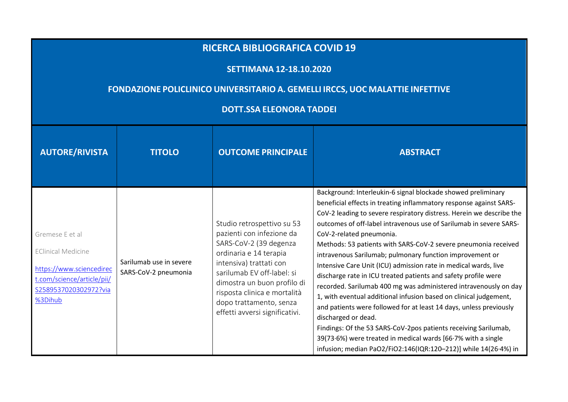## **RICERCA BIBLIOGRAFICA COVID <sup>19</sup>**

## **SETTIMANA 12-18.10.2020**

## **FONDAZIONE POLICLINICO UNIVERSITARIO A. GEMELLI IRCCS, UOC MALATTIE INFETTIVE**

## **DOTT.SSA ELEONORA TADDEI**

| <b>AUTORE/RIVISTA</b>                                                                                                                      | <b>TITOLO</b>                                   | <b>OUTCOME PRINCIPALE</b>                                                                                                                                                                                                                                                                        | <b>ABSTRACT</b>                                                                                                                                                                                                                                                                                                                                                                                                                                                                                                                                                                                                                                                                                                                                                                                                                                                                                                                                                                                                             |
|--------------------------------------------------------------------------------------------------------------------------------------------|-------------------------------------------------|--------------------------------------------------------------------------------------------------------------------------------------------------------------------------------------------------------------------------------------------------------------------------------------------------|-----------------------------------------------------------------------------------------------------------------------------------------------------------------------------------------------------------------------------------------------------------------------------------------------------------------------------------------------------------------------------------------------------------------------------------------------------------------------------------------------------------------------------------------------------------------------------------------------------------------------------------------------------------------------------------------------------------------------------------------------------------------------------------------------------------------------------------------------------------------------------------------------------------------------------------------------------------------------------------------------------------------------------|
| Gremese E et al<br><b>EClinical Medicine</b><br>https://www.sciencedirec<br>t.com/science/article/pii/<br>S2589537020302972?via<br>%3Dihub | Sarilumab use in severe<br>SARS-CoV-2 pneumonia | Studio retrospettivo su 53<br>pazienti con infezione da<br>SARS-CoV-2 (39 degenza<br>ordinaria e 14 terapia<br>intensiva) trattati con<br>sarilumab EV off-label: si<br>dimostra un buon profilo di<br>risposta clinica e mortalità<br>dopo trattamento, senza<br>effetti avversi significativi. | Background: Interleukin-6 signal blockade showed preliminary<br>beneficial effects in treating inflammatory response against SARS-<br>CoV-2 leading to severe respiratory distress. Herein we describe the<br>outcomes of off-label intravenous use of Sarilumab in severe SARS-<br>CoV-2-related pneumonia.<br>Methods: 53 patients with SARS-CoV-2 severe pneumonia received<br>intravenous Sarilumab; pulmonary function improvement or<br>Intensive Care Unit (ICU) admission rate in medical wards, live<br>discharge rate in ICU treated patients and safety profile were<br>recorded. Sarilumab 400 mg was administered intravenously on day<br>1, with eventual additional infusion based on clinical judgement,<br>and patients were followed for at least 14 days, unless previously<br>discharged or dead.<br>Findings: Of the 53 SARS-CoV-2pos patients receiving Sarilumab,<br>39(73.6%) were treated in medical wards [66.7% with a single<br>infusion; median PaO2/FiO2:146(IQR:120-212)] while 14(26.4%) in |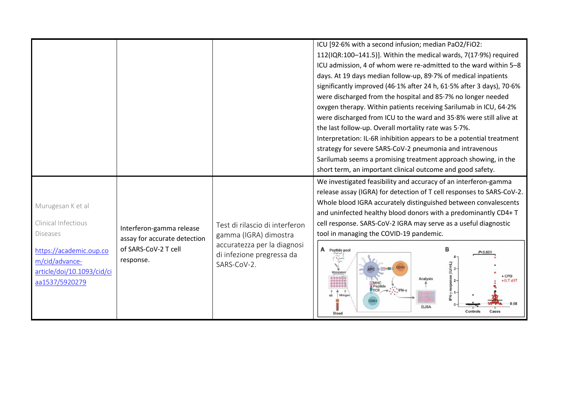|                                                                                                                                                          |                                                                                               |                                                                                                                                    | 112(IQR:100-141.5)]. Within the medical wards, 7(17.9%) required<br>ICU admission, 4 of whom were re-admitted to the ward within 5-8<br>days. At 19 days median follow-up, 89.7% of medical inpatients<br>significantly improved (46.1% after 24 h, 61.5% after 3 days), 70.6%<br>were discharged from the hospital and 85.7% no longer needed<br>oxygen therapy. Within patients receiving Sarilumab in ICU, 64.2%<br>were discharged from ICU to the ward and 35.8% were still alive at<br>the last follow-up. Overall mortality rate was 5.7%.<br>Interpretation: IL-6R inhibition appears to be a potential treatment<br>strategy for severe SARS-CoV-2 pneumonia and intravenous<br>Sarilumab seems a promising treatment approach showing, in the<br>short term, an important clinical outcome and good safety.<br>We investigated feasibility and accuracy of an interferon-gamma |
|----------------------------------------------------------------------------------------------------------------------------------------------------------|-----------------------------------------------------------------------------------------------|------------------------------------------------------------------------------------------------------------------------------------|------------------------------------------------------------------------------------------------------------------------------------------------------------------------------------------------------------------------------------------------------------------------------------------------------------------------------------------------------------------------------------------------------------------------------------------------------------------------------------------------------------------------------------------------------------------------------------------------------------------------------------------------------------------------------------------------------------------------------------------------------------------------------------------------------------------------------------------------------------------------------------------|
| Murugesan K et al<br>Clinical Infectious<br><b>Diseases</b><br>https://academic.oup.co<br>m/cid/advance-<br>article/doi/10.1093/cid/ci<br>aa1537/5920279 | Interferon-gamma release<br>assay for accurate detection<br>of SARS-CoV-2 T cell<br>response. | Test di rilascio di interferon<br>gamma (IGRA) dimostra<br>accuratezza per la diagnosi<br>di infezione pregressa da<br>SARS-CoV-2. | release assay (IGRA) for detection of T cell responses to SARS-CoV-2.<br>Whole blood IGRA accurately distinguished between convalescents<br>and uninfected healthy blood donors with a predominantly CD4+ T<br>cell response. SARS-CoV-2 IGRA may serve as a useful diagnostic<br>tool in managing the COVID-19 pandemic.<br>A Peptide pool<br>$\cdot$ CPD<br>Peptide<br>$\rightarrow$ : $\cdot$ FN-y<br><b>ELISA</b><br>Controls<br>Cases<br>Blood                                                                                                                                                                                                                                                                                                                                                                                                                                      |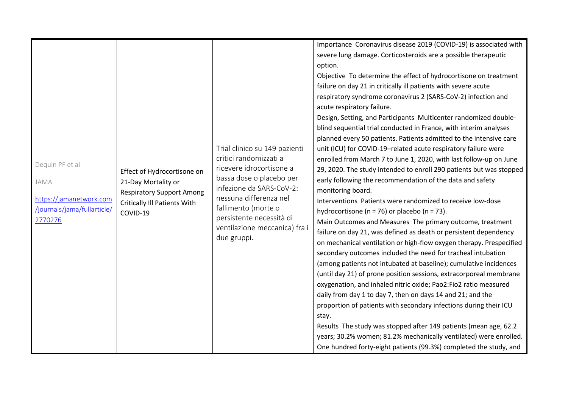| Dequin PF et al<br>JAMA<br>https://jamanetwork.com<br>/journals/jama/fullarticle/<br>2770276 | Effect of Hydrocortisone on<br>21-Day Mortality or<br><b>Respiratory Support Among</b><br><b>Critically III Patients With</b><br>COVID-19 | Trial clinico su 149 pazienti<br>critici randomizzati a<br>ricevere idrocortisone a<br>bassa dose o placebo per<br>infezione da SARS-CoV-2:<br>nessuna differenza nel<br>fallimento (morte o<br>persistente necessità di<br>ventilazione meccanica) fra i<br>due gruppi. | Importance Coronavirus disease 2019 (COVID-19) is associated with<br>severe lung damage. Corticosteroids are a possible therapeutic<br>option.<br>Objective To determine the effect of hydrocortisone on treatment<br>failure on day 21 in critically ill patients with severe acute<br>respiratory syndrome coronavirus 2 (SARS-CoV-2) infection and<br>acute respiratory failure.<br>Design, Setting, and Participants Multicenter randomized double-<br>blind sequential trial conducted in France, with interim analyses<br>planned every 50 patients. Patients admitted to the intensive care<br>unit (ICU) for COVID-19-related acute respiratory failure were<br>enrolled from March 7 to June 1, 2020, with last follow-up on June<br>29, 2020. The study intended to enroll 290 patients but was stopped<br>early following the recommendation of the data and safety<br>monitoring board.<br>Interventions Patients were randomized to receive low-dose<br>hydrocortisone ( $n = 76$ ) or placebo ( $n = 73$ ).<br>Main Outcomes and Measures The primary outcome, treatment<br>failure on day 21, was defined as death or persistent dependency<br>on mechanical ventilation or high-flow oxygen therapy. Prespecified<br>secondary outcomes included the need for tracheal intubation<br>(among patients not intubated at baseline); cumulative incidences<br>(until day 21) of prone position sessions, extracorporeal membrane<br>oxygenation, and inhaled nitric oxide; Pao2:Fio2 ratio measured<br>daily from day 1 to day 7, then on days 14 and 21; and the<br>proportion of patients with secondary infections during their ICU<br>stay.<br>Results The study was stopped after 149 patients (mean age, 62.2<br>years; 30.2% women; 81.2% mechanically ventilated) were enrolled.<br>One hundred forty-eight patients (99.3%) completed the study, and |
|----------------------------------------------------------------------------------------------|-------------------------------------------------------------------------------------------------------------------------------------------|--------------------------------------------------------------------------------------------------------------------------------------------------------------------------------------------------------------------------------------------------------------------------|---------------------------------------------------------------------------------------------------------------------------------------------------------------------------------------------------------------------------------------------------------------------------------------------------------------------------------------------------------------------------------------------------------------------------------------------------------------------------------------------------------------------------------------------------------------------------------------------------------------------------------------------------------------------------------------------------------------------------------------------------------------------------------------------------------------------------------------------------------------------------------------------------------------------------------------------------------------------------------------------------------------------------------------------------------------------------------------------------------------------------------------------------------------------------------------------------------------------------------------------------------------------------------------------------------------------------------------------------------------------------------------------------------------------------------------------------------------------------------------------------------------------------------------------------------------------------------------------------------------------------------------------------------------------------------------------------------------------------------------------------------------------------------------------------------------------------------------------------------------------------|
|----------------------------------------------------------------------------------------------|-------------------------------------------------------------------------------------------------------------------------------------------|--------------------------------------------------------------------------------------------------------------------------------------------------------------------------------------------------------------------------------------------------------------------------|---------------------------------------------------------------------------------------------------------------------------------------------------------------------------------------------------------------------------------------------------------------------------------------------------------------------------------------------------------------------------------------------------------------------------------------------------------------------------------------------------------------------------------------------------------------------------------------------------------------------------------------------------------------------------------------------------------------------------------------------------------------------------------------------------------------------------------------------------------------------------------------------------------------------------------------------------------------------------------------------------------------------------------------------------------------------------------------------------------------------------------------------------------------------------------------------------------------------------------------------------------------------------------------------------------------------------------------------------------------------------------------------------------------------------------------------------------------------------------------------------------------------------------------------------------------------------------------------------------------------------------------------------------------------------------------------------------------------------------------------------------------------------------------------------------------------------------------------------------------------------|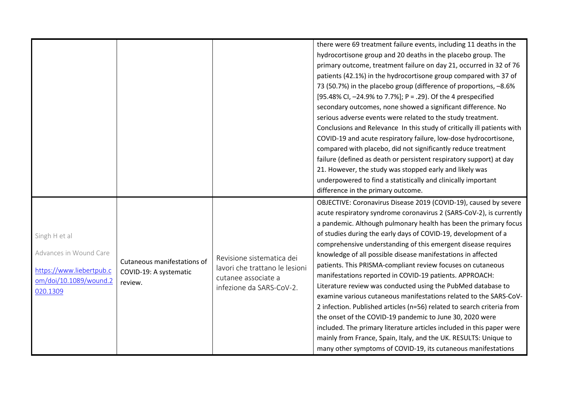|                                                                                                           |                                                                  |                                                                                                                | there were 69 treatment failure events, including 11 deaths in the<br>hydrocortisone group and 20 deaths in the placebo group. The<br>primary outcome, treatment failure on day 21, occurred in 32 of 76<br>patients (42.1%) in the hydrocortisone group compared with 37 of<br>73 (50.7%) in the placebo group (difference of proportions, -8.6%<br>[95.48% CI, -24.9% to 7.7%]; P = .29). Of the 4 prespecified<br>secondary outcomes, none showed a significant difference. No<br>serious adverse events were related to the study treatment.<br>Conclusions and Relevance In this study of critically ill patients with<br>COVID-19 and acute respiratory failure, low-dose hydrocortisone,<br>compared with placebo, did not significantly reduce treatment<br>failure (defined as death or persistent respiratory support) at day<br>21. However, the study was stopped early and likely was<br>underpowered to find a statistically and clinically important<br>difference in the primary outcome.                         |
|-----------------------------------------------------------------------------------------------------------|------------------------------------------------------------------|----------------------------------------------------------------------------------------------------------------|-----------------------------------------------------------------------------------------------------------------------------------------------------------------------------------------------------------------------------------------------------------------------------------------------------------------------------------------------------------------------------------------------------------------------------------------------------------------------------------------------------------------------------------------------------------------------------------------------------------------------------------------------------------------------------------------------------------------------------------------------------------------------------------------------------------------------------------------------------------------------------------------------------------------------------------------------------------------------------------------------------------------------------------|
| Singh H et al<br>Advances in Wound Care<br>https://www.liebertpub.c<br>om/doi/10.1089/wound.2<br>020.1309 | Cutaneous manifestations of<br>COVID-19: A systematic<br>review. | Revisione sistematica dei<br>lavori che trattano le lesioni<br>cutanee associate a<br>infezione da SARS-CoV-2. | OBJECTIVE: Coronavirus Disease 2019 (COVID-19), caused by severe<br>acute respiratory syndrome coronavirus 2 (SARS-CoV-2), is currently<br>a pandemic. Although pulmonary health has been the primary focus<br>of studies during the early days of COVID-19, development of a<br>comprehensive understanding of this emergent disease requires<br>knowledge of all possible disease manifestations in affected<br>patients. This PRISMA-compliant review focuses on cutaneous<br>manifestations reported in COVID-19 patients. APPROACH:<br>Literature review was conducted using the PubMed database to<br>examine various cutaneous manifestations related to the SARS-CoV-<br>2 infection. Published articles (n=56) related to search criteria from<br>the onset of the COVID-19 pandemic to June 30, 2020 were<br>included. The primary literature articles included in this paper were<br>mainly from France, Spain, Italy, and the UK. RESULTS: Unique to<br>many other symptoms of COVID-19, its cutaneous manifestations |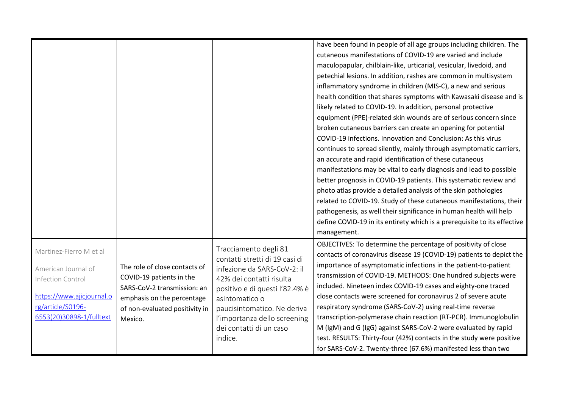|                                                                                                                                                   |                                                                                                                                                                     |                                                                                                                                                                                                                                                                             | have been found in people of all age groups including children. The<br>cutaneous manifestations of COVID-19 are varied and include<br>maculopapular, chilblain-like, urticarial, vesicular, livedoid, and<br>petechial lesions. In addition, rashes are common in multisystem<br>inflammatory syndrome in children (MIS-C), a new and serious<br>health condition that shares symptoms with Kawasaki disease and is<br>likely related to COVID-19. In addition, personal protective<br>equipment (PPE)-related skin wounds are of serious concern since<br>broken cutaneous barriers can create an opening for potential<br>COVID-19 infections. Innovation and Conclusion: As this virus<br>continues to spread silently, mainly through asymptomatic carriers,<br>an accurate and rapid identification of these cutaneous<br>manifestations may be vital to early diagnosis and lead to possible<br>better prognosis in COVID-19 patients. This systematic review and<br>photo atlas provide a detailed analysis of the skin pathologies<br>related to COVID-19. Study of these cutaneous manifestations, their<br>pathogenesis, as well their significance in human health will help<br>define COVID-19 in its entirety which is a prerequisite to its effective<br>management. |
|---------------------------------------------------------------------------------------------------------------------------------------------------|---------------------------------------------------------------------------------------------------------------------------------------------------------------------|-----------------------------------------------------------------------------------------------------------------------------------------------------------------------------------------------------------------------------------------------------------------------------|------------------------------------------------------------------------------------------------------------------------------------------------------------------------------------------------------------------------------------------------------------------------------------------------------------------------------------------------------------------------------------------------------------------------------------------------------------------------------------------------------------------------------------------------------------------------------------------------------------------------------------------------------------------------------------------------------------------------------------------------------------------------------------------------------------------------------------------------------------------------------------------------------------------------------------------------------------------------------------------------------------------------------------------------------------------------------------------------------------------------------------------------------------------------------------------------------------------------------------------------------------------------------------|
| Martinez-Fierro M et al<br>American Journal of<br>Infection Control<br>https://www.ajicjournal.o<br>rg/article/S0196-<br>6553(20)30898-1/fulltext | The role of close contacts of<br>COVID-19 patients in the<br>SARS-CoV-2 transmission: an<br>emphasis on the percentage<br>of non-evaluated positivity in<br>Mexico. | Tracciamento degli 81<br>contatti stretti di 19 casi di<br>infezione da SARS-CoV-2: il<br>42% dei contatti risulta<br>positivo e di questi l'82.4% è<br>asintomatico o<br>paucisintomatico. Ne deriva<br>l'importanza dello screening<br>dei contatti di un caso<br>indice. | OBJECTIVES: To determine the percentage of positivity of close<br>contacts of coronavirus disease 19 (COVID-19) patients to depict the<br>importance of asymptomatic infections in the patient-to-patient<br>transmission of COVID-19. METHODS: One hundred subjects were<br>included. Nineteen index COVID-19 cases and eighty-one traced<br>close contacts were screened for coronavirus 2 of severe acute<br>respiratory syndrome (SARS-CoV-2) using real-time reverse<br>transcription-polymerase chain reaction (RT-PCR). Immunoglobulin<br>M (IgM) and G (IgG) against SARS-CoV-2 were evaluated by rapid<br>test. RESULTS: Thirty-four (42%) contacts in the study were positive<br>for SARS-CoV-2. Twenty-three (67.6%) manifested less than two                                                                                                                                                                                                                                                                                                                                                                                                                                                                                                                           |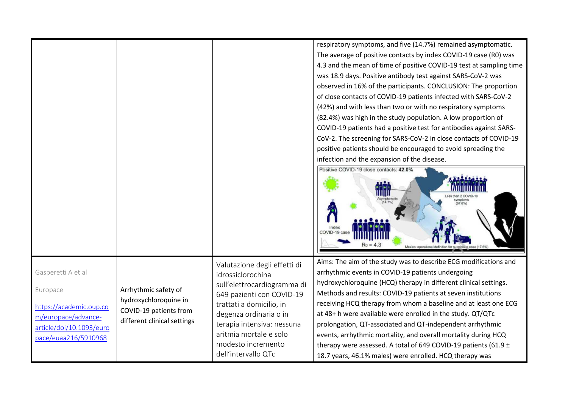|                                                                                                                                      |                                                                                                        |                                                                                                                                                                                                                                                                          | respiratory symptoms, and five (14.7%) remained asymptomatic.<br>The average of positive contacts by index COVID-19 case (R0) was<br>4.3 and the mean of time of positive COVID-19 test at sampling time<br>was 18.9 days. Positive antibody test against SARS-CoV-2 was<br>observed in 16% of the participants. CONCLUSION: The proportion<br>of close contacts of COVID-19 patients infected with SARS-CoV-2<br>(42%) and with less than two or with no respiratory symptoms<br>(82.4%) was high in the study population. A low proportion of                                                                                                             |
|--------------------------------------------------------------------------------------------------------------------------------------|--------------------------------------------------------------------------------------------------------|--------------------------------------------------------------------------------------------------------------------------------------------------------------------------------------------------------------------------------------------------------------------------|-------------------------------------------------------------------------------------------------------------------------------------------------------------------------------------------------------------------------------------------------------------------------------------------------------------------------------------------------------------------------------------------------------------------------------------------------------------------------------------------------------------------------------------------------------------------------------------------------------------------------------------------------------------|
|                                                                                                                                      |                                                                                                        |                                                                                                                                                                                                                                                                          | COVID-19 patients had a positive test for antibodies against SARS-<br>CoV-2. The screening for SARS-CoV-2 in close contacts of COVID-19<br>positive patients should be encouraged to avoid spreading the<br>infection and the expansion of the disease.                                                                                                                                                                                                                                                                                                                                                                                                     |
|                                                                                                                                      |                                                                                                        |                                                                                                                                                                                                                                                                          | Positive COVID-19 close contacts: 42.0%<br>mmu<br>symptoms<br>(67.6%)<br>(14.7%)<br>Index<br>COVID-19 case<br>Mexico: operational definition                                                                                                                                                                                                                                                                                                                                                                                                                                                                                                                |
| Gasperetti A et al<br>Europace<br>https://academic.oup.co<br>m/europace/advance-<br>article/doi/10.1093/euro<br>pace/euaa216/5910968 | Arrhythmic safety of<br>hydroxychloroquine in<br>COVID-19 patients from<br>different clinical settings | Valutazione degli effetti di<br>idrossiclorochina<br>sull'elettrocardiogramma di<br>649 pazienti con COVID-19<br>trattati a domicilio, in<br>degenza ordinaria o in<br>terapia intensiva: nessuna<br>aritmia mortale e solo<br>modesto incremento<br>dell'intervallo QTc | Aims: The aim of the study was to describe ECG modifications and<br>arrhythmic events in COVID-19 patients undergoing<br>hydroxychloroquine (HCQ) therapy in different clinical settings.<br>Methods and results: COVID-19 patients at seven institutions<br>receiving HCQ therapy from whom a baseline and at least one ECG<br>at 48+ h were available were enrolled in the study. QT/QTc<br>prolongation, QT-associated and QT-independent arrhythmic<br>events, arrhythmic mortality, and overall mortality during HCQ<br>therapy were assessed. A total of 649 COVID-19 patients (61.9 $\pm$<br>18.7 years, 46.1% males) were enrolled. HCQ therapy was |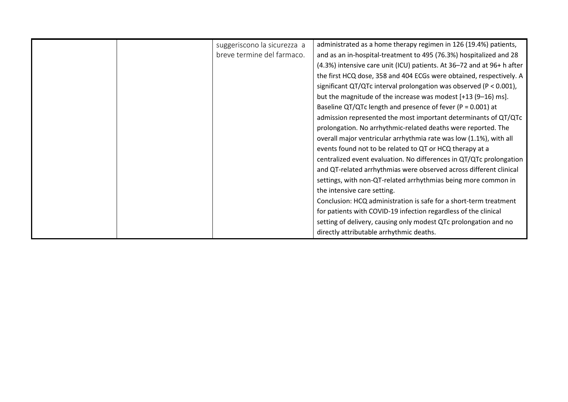|  | suggeriscono la sicurezza a | administrated as a home therapy regimen in 126 (19.4%) patients,         |
|--|-----------------------------|--------------------------------------------------------------------------|
|  | breve termine del farmaco.  | and as an in-hospital-treatment to 495 (76.3%) hospitalized and 28       |
|  |                             | (4.3%) intensive care unit (ICU) patients. At 36-72 and at 96+ h after   |
|  |                             | the first HCQ dose, 358 and 404 ECGs were obtained, respectively. A      |
|  |                             | significant $QT/QTc$ interval prolongation was observed ( $P < 0.001$ ), |
|  |                             | but the magnitude of the increase was modest [+13 (9-16) ms].            |
|  |                             | Baseline QT/QTc length and presence of fever ( $P = 0.001$ ) at          |
|  |                             | admission represented the most important determinants of QT/QTc          |
|  |                             | prolongation. No arrhythmic-related deaths were reported. The            |
|  |                             | overall major ventricular arrhythmia rate was low (1.1%), with all       |
|  |                             | events found not to be related to QT or HCQ therapy at a                 |
|  |                             | centralized event evaluation. No differences in QT/QTc prolongation      |
|  |                             | and QT-related arrhythmias were observed across different clinical       |
|  |                             | settings, with non-QT-related arrhythmias being more common in           |
|  |                             | the intensive care setting.                                              |
|  |                             | Conclusion: HCQ administration is safe for a short-term treatment        |
|  |                             | for patients with COVID-19 infection regardless of the clinical          |
|  |                             | setting of delivery, causing only modest QTc prolongation and no         |
|  |                             | directly attributable arrhythmic deaths.                                 |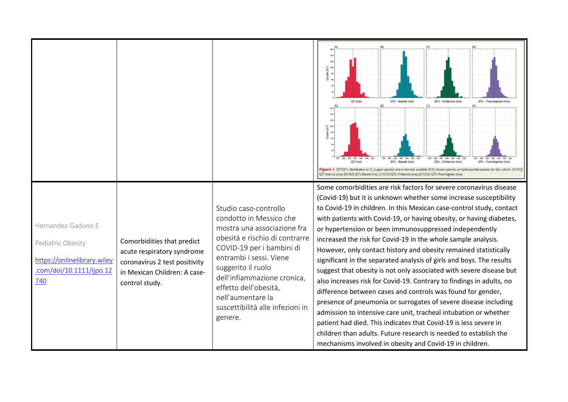|                                                                                                           |                                                                                                                                             |                                                                                                                                                                                                                                                                                                                             | $\epsilon$<br>QT (ms)<br>OTc - Bazett (ms)<br>OTc - Fridericia (ms)<br>QTc - Framingham (ms)<br>C2<br>B2<br>D <sub>2</sub><br>QT (ms)<br>QTc - Bazett (ms)<br>QTc - Fridericia (ms)<br>OTc - Framingham (ms)<br>Figure 1 QT/QTc distribution at T <sub>0</sub> (upper panels) and at the last available ECG (lower panels) on hydroxychloroquine for the cohort. (A1/A2)<br>QT interval (ms); (B1/B2) QTc Bazett (ms); (C1/C2) QTc Fridericia (ms); (D1/D2) QTc Framingham (ms)                                                                                                                                                                                                                                                                                                                                                                                                                                                                                                                                                                                                                                        |
|-----------------------------------------------------------------------------------------------------------|---------------------------------------------------------------------------------------------------------------------------------------------|-----------------------------------------------------------------------------------------------------------------------------------------------------------------------------------------------------------------------------------------------------------------------------------------------------------------------------|------------------------------------------------------------------------------------------------------------------------------------------------------------------------------------------------------------------------------------------------------------------------------------------------------------------------------------------------------------------------------------------------------------------------------------------------------------------------------------------------------------------------------------------------------------------------------------------------------------------------------------------------------------------------------------------------------------------------------------------------------------------------------------------------------------------------------------------------------------------------------------------------------------------------------------------------------------------------------------------------------------------------------------------------------------------------------------------------------------------------|
| Hernandez-Gaduno E<br>Pediatric Obesity<br>https://onlinelibrary.wiley<br>.com/doi/10.1111/ijpo.12<br>740 | Comorbidities that predict<br>acute respiratory syndrome<br>coronavirus 2 test positivity<br>in Mexican Children: A case-<br>control study. | Studio caso-controllo<br>condotto in Messico che<br>mostra una associazione fra<br>obesità e rischio di contrarre<br>COVID-19 per i bambini di<br>entrambi i sessi. Viene<br>suggerito il ruolo<br>dell'infiammazione cronica,<br>effetto dell'obesità,<br>nell'aumentare la<br>suscettibilità alle infezioni in<br>genere. | Some comorbidities are risk factors for severe coronavirus disease<br>(Covid-19) but it is unknown whether some increase susceptibility<br>to Covid-19 in children. In this Mexican case-control study, contact<br>with patients with Covid-19, or having obesity, or having diabetes,<br>or hypertension or been immunosuppressed independently<br>increased the risk for Covid-19 in the whole sample analysis.<br>However, only contact history and obesity remained statistically<br>significant in the separated analysis of girls and boys. The results<br>suggest that obesity is not only associated with severe disease but<br>also increases risk for Covid-19. Contrary to findings in adults, no<br>difference between cases and controls was found for gender,<br>presence of pneumonia or surrogates of severe disease including<br>admission to intensive care unit, tracheal intubation or whether<br>patient had died. This indicates that Covid-19 is less severe in<br>children than adults. Future research is needed to establish the<br>mechanisms involved in obesity and Covid-19 in children. |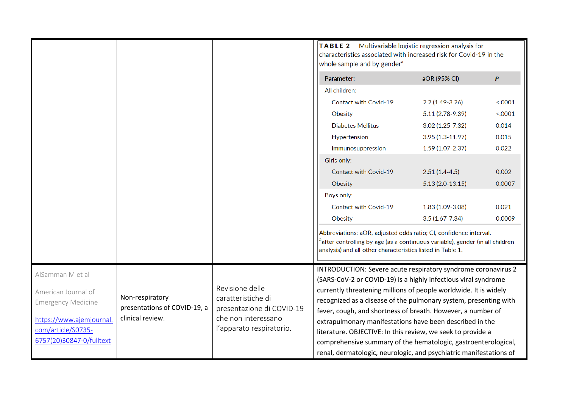|                                                                                                                                |                                                                     |                                                                                                                       | Multivariable logistic regression analysis for<br><b>TABLE 2</b><br>characteristics associated with increased risk for Covid-19 in the<br>whole sample and by gender <sup>a</sup>                                                                                                                                                                                                                                                                                  |                     |         |
|--------------------------------------------------------------------------------------------------------------------------------|---------------------------------------------------------------------|-----------------------------------------------------------------------------------------------------------------------|--------------------------------------------------------------------------------------------------------------------------------------------------------------------------------------------------------------------------------------------------------------------------------------------------------------------------------------------------------------------------------------------------------------------------------------------------------------------|---------------------|---------|
|                                                                                                                                |                                                                     |                                                                                                                       | Parameter:                                                                                                                                                                                                                                                                                                                                                                                                                                                         | aOR (95% CI)        | P       |
|                                                                                                                                |                                                                     |                                                                                                                       | All children:                                                                                                                                                                                                                                                                                                                                                                                                                                                      |                     |         |
|                                                                                                                                |                                                                     |                                                                                                                       | <b>Contact with Covid-19</b>                                                                                                                                                                                                                                                                                                                                                                                                                                       | $2.2(1.49-3.26)$    | < .0001 |
|                                                                                                                                |                                                                     |                                                                                                                       | Obesity                                                                                                                                                                                                                                                                                                                                                                                                                                                            | 5.11 (2.78-9.39)    | < .0001 |
|                                                                                                                                |                                                                     |                                                                                                                       | <b>Diabetes Mellitus</b>                                                                                                                                                                                                                                                                                                                                                                                                                                           | $3.02(1.25 - 7.32)$ | 0.014   |
|                                                                                                                                |                                                                     |                                                                                                                       | Hypertension                                                                                                                                                                                                                                                                                                                                                                                                                                                       | $3.95(1.3-11.97)$   | 0.015   |
|                                                                                                                                |                                                                     |                                                                                                                       | Immunosuppression                                                                                                                                                                                                                                                                                                                                                                                                                                                  | $1.59(1.07 - 2.37)$ | 0.022   |
|                                                                                                                                |                                                                     |                                                                                                                       | Girls only:                                                                                                                                                                                                                                                                                                                                                                                                                                                        |                     |         |
|                                                                                                                                |                                                                     |                                                                                                                       | <b>Contact with Covid-19</b>                                                                                                                                                                                                                                                                                                                                                                                                                                       | $2.51(1.4-4.5)$     | 0.002   |
|                                                                                                                                |                                                                     |                                                                                                                       | Obesity                                                                                                                                                                                                                                                                                                                                                                                                                                                            | $5.13(2.0-13.15)$   | 0.0007  |
|                                                                                                                                |                                                                     |                                                                                                                       | Boys only:                                                                                                                                                                                                                                                                                                                                                                                                                                                         |                     |         |
|                                                                                                                                |                                                                     |                                                                                                                       | <b>Contact with Covid-19</b>                                                                                                                                                                                                                                                                                                                                                                                                                                       | 1.83 (1.09-3.08)    | 0.021   |
|                                                                                                                                |                                                                     |                                                                                                                       | Obesity                                                                                                                                                                                                                                                                                                                                                                                                                                                            | $3.5(1.67 - 7.34)$  | 0.0009  |
|                                                                                                                                |                                                                     |                                                                                                                       | Abbreviations: aOR, adjusted odds ratio; CI, confidence interval.<br><sup>a</sup> after controlling by age (as a continuous variable), gender (in all children<br>analysis) and all other characteristics listed in Table 1.                                                                                                                                                                                                                                       |                     |         |
| AlSamman M et al                                                                                                               |                                                                     |                                                                                                                       | INTRODUCTION: Severe acute respiratory syndrome coronavirus 2                                                                                                                                                                                                                                                                                                                                                                                                      |                     |         |
| American Journal of<br><b>Emergency Medicine</b><br>https://www.ajemjournal.<br>com/article/S0735-<br>6757(20)30847-0/fulltext | Non-respiratory<br>presentations of COVID-19, a<br>clinical review. | Revisione delle<br>caratteristiche di<br>presentazione di COVID-19<br>che non interessano<br>l'apparato respiratorio. | (SARS-CoV-2 or COVID-19) is a highly infectious viral syndrome<br>currently threatening millions of people worldwide. It is widely<br>recognized as a disease of the pulmonary system, presenting with<br>fever, cough, and shortness of breath. However, a number of<br>extrapulmonary manifestations have been described in the<br>literature. OBJECTIVE: In this review, we seek to provide a<br>comprehensive summary of the hematologic, gastroenterological, |                     |         |
|                                                                                                                                |                                                                     |                                                                                                                       | renal, dermatologic, neurologic, and psychiatric manifestations of                                                                                                                                                                                                                                                                                                                                                                                                 |                     |         |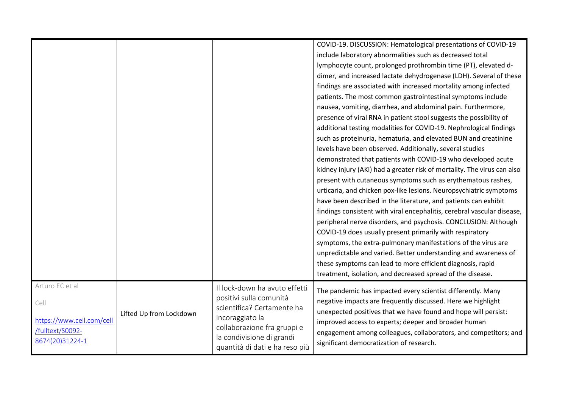|                                                                                             |                         |                                                                                                                                                                                                         | COVID-19. DISCUSSION: Hematological presentations of COVID-19<br>include laboratory abnormalities such as decreased total<br>lymphocyte count, prolonged prothrombin time (PT), elevated d-<br>dimer, and increased lactate dehydrogenase (LDH). Several of these<br>findings are associated with increased mortality among infected<br>patients. The most common gastrointestinal symptoms include<br>nausea, vomiting, diarrhea, and abdominal pain. Furthermore,<br>presence of viral RNA in patient stool suggests the possibility of<br>additional testing modalities for COVID-19. Nephrological findings<br>such as proteinuria, hematuria, and elevated BUN and creatinine<br>levels have been observed. Additionally, several studies<br>demonstrated that patients with COVID-19 who developed acute<br>kidney injury (AKI) had a greater risk of mortality. The virus can also<br>present with cutaneous symptoms such as erythematous rashes,<br>urticaria, and chicken pox-like lesions. Neuropsychiatric symptoms<br>have been described in the literature, and patients can exhibit<br>findings consistent with viral encephalitis, cerebral vascular disease,<br>peripheral nerve disorders, and psychosis. CONCLUSION: Although<br>COVID-19 does usually present primarily with respiratory<br>symptoms, the extra-pulmonary manifestations of the virus are<br>unpredictable and varied. Better understanding and awareness of<br>these symptoms can lead to more efficient diagnosis, rapid<br>treatment, isolation, and decreased spread of the disease. |
|---------------------------------------------------------------------------------------------|-------------------------|---------------------------------------------------------------------------------------------------------------------------------------------------------------------------------------------------------|------------------------------------------------------------------------------------------------------------------------------------------------------------------------------------------------------------------------------------------------------------------------------------------------------------------------------------------------------------------------------------------------------------------------------------------------------------------------------------------------------------------------------------------------------------------------------------------------------------------------------------------------------------------------------------------------------------------------------------------------------------------------------------------------------------------------------------------------------------------------------------------------------------------------------------------------------------------------------------------------------------------------------------------------------------------------------------------------------------------------------------------------------------------------------------------------------------------------------------------------------------------------------------------------------------------------------------------------------------------------------------------------------------------------------------------------------------------------------------------------------------------------------------------------------------------------------|
| Arturo EC et al<br>Cell<br>https://www.cell.com/cell<br>/fulltext/S0092-<br>8674(20)31224-1 | Lifted Up from Lockdown | Il lock-down ha avuto effetti<br>positivi sulla comunità<br>scientifica? Certamente ha<br>incoraggiato la<br>collaborazione fra gruppi e<br>la condivisione di grandi<br>quantità di dati e ha reso più | The pandemic has impacted every scientist differently. Many<br>negative impacts are frequently discussed. Here we highlight<br>unexpected positives that we have found and hope will persist:<br>improved access to experts; deeper and broader human<br>engagement among colleagues, collaborators, and competitors; and<br>significant democratization of research.                                                                                                                                                                                                                                                                                                                                                                                                                                                                                                                                                                                                                                                                                                                                                                                                                                                                                                                                                                                                                                                                                                                                                                                                        |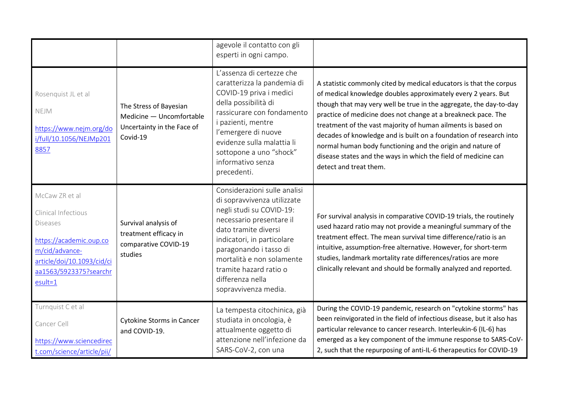|                                                                                                                                                                              |                                                                                              | agevole il contatto con gli<br>esperti in ogni campo.                                                                                                                                                                                                                                                  |                                                                                                                                                                                                                                                                                                                                                                                                                                                                                                                                                                            |
|------------------------------------------------------------------------------------------------------------------------------------------------------------------------------|----------------------------------------------------------------------------------------------|--------------------------------------------------------------------------------------------------------------------------------------------------------------------------------------------------------------------------------------------------------------------------------------------------------|----------------------------------------------------------------------------------------------------------------------------------------------------------------------------------------------------------------------------------------------------------------------------------------------------------------------------------------------------------------------------------------------------------------------------------------------------------------------------------------------------------------------------------------------------------------------------|
| Rosenquist JL et al<br>NEJM<br>https://www.nejm.org/do<br>i/full/10.1056/NEJMp201<br>8857                                                                                    | The Stress of Bayesian<br>Medicine - Uncomfortable<br>Uncertainty in the Face of<br>Covid-19 | L'assenza di certezze che<br>caratterizza la pandemia di<br>COVID-19 priva i medici<br>della possibilità di<br>rassicurare con fondamento<br>i pazienti, mentre<br>l'emergere di nuove<br>evidenze sulla malattia li<br>sottopone a uno "shock"<br>informativo senza<br>precedenti.                    | A statistic commonly cited by medical educators is that the corpus<br>of medical knowledge doubles approximately every 2 years. But<br>though that may very well be true in the aggregate, the day-to-day<br>practice of medicine does not change at a breakneck pace. The<br>treatment of the vast majority of human ailments is based on<br>decades of knowledge and is built on a foundation of research into<br>normal human body functioning and the origin and nature of<br>disease states and the ways in which the field of medicine can<br>detect and treat them. |
| McCaw ZR et al<br>Clinical Infectious<br><b>Diseases</b><br>https://academic.oup.co<br>m/cid/advance-<br>article/doi/10.1093/cid/ci<br>aa1563/5923375?searchr<br>$esult = 1$ | Survival analysis of<br>treatment efficacy in<br>comparative COVID-19<br>studies             | Considerazioni sulle analisi<br>di sopravvivenza utilizzate<br>negli studi su COVID-19:<br>necessario presentare il<br>dato tramite diversi<br>indicatori, in particolare<br>paragonando i tasso di<br>mortalità e non solamente<br>tramite hazard ratio o<br>differenza nella<br>sopravvivenza media. | For survival analysis in comparative COVID-19 trials, the routinely<br>used hazard ratio may not provide a meaningful summary of the<br>treatment effect. The mean survival time difference/ratio is an<br>intuitive, assumption-free alternative. However, for short-term<br>studies, landmark mortality rate differences/ratios are more<br>clinically relevant and should be formally analyzed and reported.                                                                                                                                                            |
| Turnquist C et al<br>Cancer Cell<br>https://www.sciencedirec<br>t.com/science/article/pii/                                                                                   | <b>Cytokine Storms in Cancer</b><br>and COVID-19.                                            | La tempesta citochinica, già<br>studiata in oncologia, è<br>attualmente oggetto di<br>attenzione nell'infezione da<br>SARS-CoV-2, con una                                                                                                                                                              | During the COVID-19 pandemic, research on "cytokine storms" has<br>been reinvigorated in the field of infectious disease, but it also has<br>particular relevance to cancer research. Interleukin-6 (IL-6) has<br>emerged as a key component of the immune response to SARS-CoV-<br>2, such that the repurposing of anti-IL-6 therapeutics for COVID-19                                                                                                                                                                                                                    |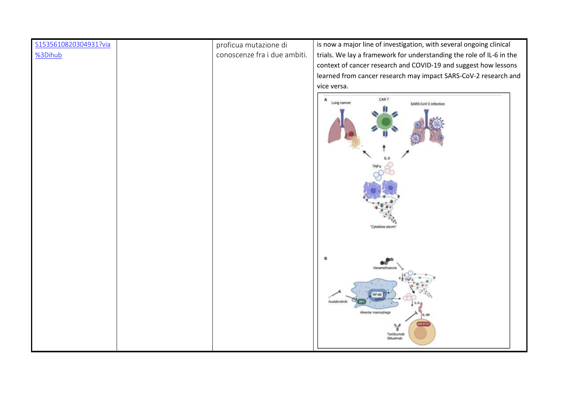| S1535610820304931?via | proficua mutazione di        | is now a major line of investigation, with several ongoing clinical  |
|-----------------------|------------------------------|----------------------------------------------------------------------|
| %3Dihub               | conoscenze fra i due ambiti. | trials. We lay a framework for understanding the role of IL-6 in the |
|                       |                              | context of cancer research and COVID-19 and suggest how lessons      |
|                       |                              | learned from cancer research may impact SARS-CoV-2 research and      |
|                       |                              | vice versa.                                                          |
|                       |                              | A<br>CAR T                                                           |
|                       |                              | Lung cancer<br>SARS-CoV-2 infection                                  |
|                       |                              |                                                                      |
|                       |                              |                                                                      |
|                       |                              |                                                                      |
|                       |                              | "Cytokine storm"                                                     |
|                       |                              |                                                                      |
|                       |                              |                                                                      |
|                       |                              | Dexamethasone                                                        |
|                       |                              | <b>UF-MB</b><br>Acalabrutinit                                        |
|                       |                              | Alveolar macrophage<br>Y                                             |
|                       |                              | Tooikzumab<br>Siltuximab                                             |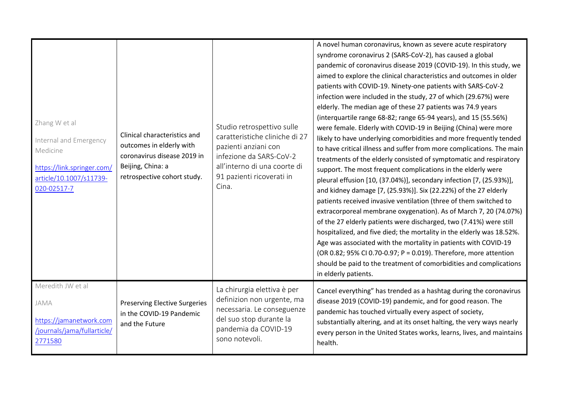| Zhang W et al<br>Internal and Emergency<br>Medicine<br>https://link.springer.com/<br>article/10.1007/s11739-<br>020-02517-7 | Clinical characteristics and<br>outcomes in elderly with<br>coronavirus disease 2019 in<br>Beijing, China: a<br>retrospective cohort study. | Studio retrospettivo sulle<br>caratteristiche cliniche di 27<br>pazienti anziani con<br>infezione da SARS-CoV-2<br>all'interno di una coorte di<br>91 pazienti ricoverati in<br>Cina. | A novel human coronavirus, known as severe acute respiratory<br>syndrome coronavirus 2 (SARS-CoV-2), has caused a global<br>pandemic of coronavirus disease 2019 (COVID-19). In this study, we<br>aimed to explore the clinical characteristics and outcomes in older<br>patients with COVID-19. Ninety-one patients with SARS-CoV-2<br>infection were included in the study, 27 of which (29.67%) were<br>elderly. The median age of these 27 patients was 74.9 years<br>(interquartile range 68-82; range 65-94 years), and 15 (55.56%)<br>were female. Elderly with COVID-19 in Beijing (China) were more<br>likely to have underlying comorbidities and more frequently tended<br>to have critical illness and suffer from more complications. The main<br>treatments of the elderly consisted of symptomatic and respiratory<br>support. The most frequent complications in the elderly were<br>pleural effusion [10, (37.04%)], secondary infection [7, (25.93%)],<br>and kidney damage [7, (25.93%)]. Six (22.22%) of the 27 elderly<br>patients received invasive ventilation (three of them switched to<br>extracorporeal membrane oxygenation). As of March 7, 20 (74.07%)<br>of the 27 elderly patients were discharged, two (7.41%) were still<br>hospitalized, and five died; the mortality in the elderly was 18.52%.<br>Age was associated with the mortality in patients with COVID-19<br>(OR 0.82; 95% CI 0.70-0.97; P = 0.019). Therefore, more attention<br>should be paid to the treatment of comorbidities and complications<br>in elderly patients. |
|-----------------------------------------------------------------------------------------------------------------------------|---------------------------------------------------------------------------------------------------------------------------------------------|---------------------------------------------------------------------------------------------------------------------------------------------------------------------------------------|---------------------------------------------------------------------------------------------------------------------------------------------------------------------------------------------------------------------------------------------------------------------------------------------------------------------------------------------------------------------------------------------------------------------------------------------------------------------------------------------------------------------------------------------------------------------------------------------------------------------------------------------------------------------------------------------------------------------------------------------------------------------------------------------------------------------------------------------------------------------------------------------------------------------------------------------------------------------------------------------------------------------------------------------------------------------------------------------------------------------------------------------------------------------------------------------------------------------------------------------------------------------------------------------------------------------------------------------------------------------------------------------------------------------------------------------------------------------------------------------------------------------------------------------------------------------------|
| Meredith JW et al<br>JAMA<br>https://jamanetwork.com<br>/journals/jama/fullarticle/<br>2771580                              | <b>Preserving Elective Surgeries</b><br>in the COVID-19 Pandemic<br>and the Future                                                          | La chirurgia elettiva è per<br>definizion non urgente, ma<br>necessaria. Le conseguenze<br>del suo stop durante la<br>pandemia da COVID-19<br>sono notevoli.                          | Cancel everything" has trended as a hashtag during the coronavirus<br>disease 2019 (COVID-19) pandemic, and for good reason. The<br>pandemic has touched virtually every aspect of society,<br>substantially altering, and at its onset halting, the very ways nearly<br>every person in the United States works, learns, lives, and maintains<br>health.                                                                                                                                                                                                                                                                                                                                                                                                                                                                                                                                                                                                                                                                                                                                                                                                                                                                                                                                                                                                                                                                                                                                                                                                                 |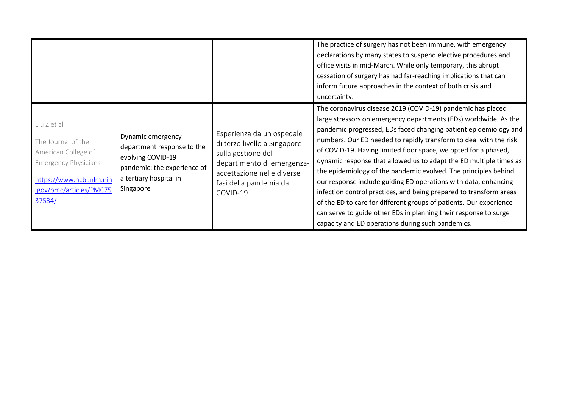|                                                                                                                                                          |                                                                                                                                            |                                                                                                                                                                                    | The practice of surgery has not been immune, with emergency<br>declarations by many states to suspend elective procedures and<br>office visits in mid-March. While only temporary, this abrupt<br>cessation of surgery has had far-reaching implications that can<br>inform future approaches in the context of both crisis and<br>uncertainty.                                                                                                                                                                                                                                                                                                                                                                                                                                                                              |
|----------------------------------------------------------------------------------------------------------------------------------------------------------|--------------------------------------------------------------------------------------------------------------------------------------------|------------------------------------------------------------------------------------------------------------------------------------------------------------------------------------|------------------------------------------------------------------------------------------------------------------------------------------------------------------------------------------------------------------------------------------------------------------------------------------------------------------------------------------------------------------------------------------------------------------------------------------------------------------------------------------------------------------------------------------------------------------------------------------------------------------------------------------------------------------------------------------------------------------------------------------------------------------------------------------------------------------------------|
| Liu Z et al<br>The Journal of the<br>American College of<br><b>Emergency Physicians</b><br>https://www.ncbi.nlm.nih<br>.gov/pmc/articles/PMC75<br>37534/ | Dynamic emergency<br>department response to the<br>evolving COVID-19<br>pandemic: the experience of<br>a tertiary hospital in<br>Singapore | Esperienza da un ospedale<br>di terzo livello a Singapore<br>sulla gestione del<br>departimento di emergenza-<br>accettazione nelle diverse<br>fasi della pandemia da<br>COVID-19. | The coronavirus disease 2019 (COVID-19) pandemic has placed<br>large stressors on emergency departments (EDs) worldwide. As the<br>pandemic progressed, EDs faced changing patient epidemiology and<br>numbers. Our ED needed to rapidly transform to deal with the risk<br>of COVID-19. Having limited floor space, we opted for a phased,<br>dynamic response that allowed us to adapt the ED multiple times as<br>the epidemiology of the pandemic evolved. The principles behind<br>our response include guiding ED operations with data, enhancing<br>infection control practices, and being prepared to transform areas<br>of the ED to care for different groups of patients. Our experience<br>can serve to guide other EDs in planning their response to surge<br>capacity and ED operations during such pandemics. |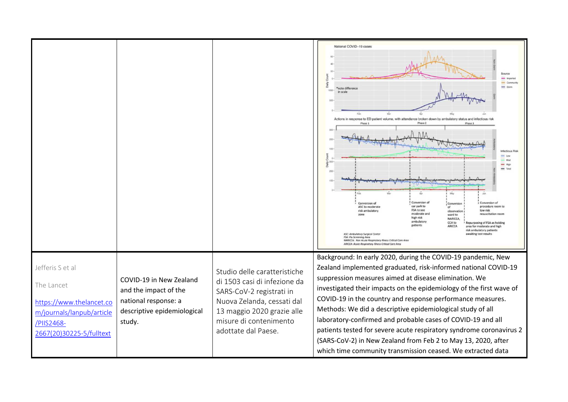|                                                                                                                                   |                                                                                                                   |                                                                                                                                                                                                       | National COVID-19 cases<br>note differenci<br>1000<br>in scale<br>Actions in response to ED patient volume, with attendance broken down by ambulatory status and infectious risi<br>Phase 2<br>Phase 1<br>Phase 3<br>nfactious Ris<br>$ightharpoonup$ High<br>Conversion of<br>Conversion of<br>Conversion<br>Conversion of<br>car park to<br>procedure room<br>ASC to moderate<br>FSA to see<br>low risk<br>risk ambulatory<br>observation<br>moderate and<br>resuscitation n<br>ward to<br>high risk<br><b>NARICCA</b><br>ambulaton<br><b>CCA to</b><br>Repurposing of FSA as holding<br>patients<br>ARICCA                                                    |
|-----------------------------------------------------------------------------------------------------------------------------------|-------------------------------------------------------------------------------------------------------------------|-------------------------------------------------------------------------------------------------------------------------------------------------------------------------------------------------------|------------------------------------------------------------------------------------------------------------------------------------------------------------------------------------------------------------------------------------------------------------------------------------------------------------------------------------------------------------------------------------------------------------------------------------------------------------------------------------------------------------------------------------------------------------------------------------------------------------------------------------------------------------------|
|                                                                                                                                   |                                                                                                                   |                                                                                                                                                                                                       | area for moderate and high<br>risk ambulatory patients<br>awaiting test results<br>ASC: Ambulatory Surgical Center<br>FSA: Flu Screening Area<br>NARICCA: Non Acute Respiratory Illness Critical Core Area<br>ARICCA: Acute Respiratory Illness Critical Care Area                                                                                                                                                                                                                                                                                                                                                                                               |
| Jefferis S et al<br>The Lancet<br>https://www.thelancet.co<br>m/journals/lanpub/article<br>/PIIS2468-<br>2667(20)30225-5/fulltext | COVID-19 in New Zealand<br>and the impact of the<br>national response: a<br>descriptive epidemiological<br>study. | Studio delle caratteristiche<br>di 1503 casi di infezione da<br>SARS-CoV-2 registrati in<br>Nuova Zelanda, cessati dal<br>13 maggio 2020 grazie alle<br>misure di contenimento<br>adottate dal Paese. | Background: In early 2020, during the COVID-19 pandemic, New<br>Zealand implemented graduated, risk-informed national COVID-19<br>suppression measures aimed at disease elimination. We<br>investigated their impacts on the epidemiology of the first wave of<br>COVID-19 in the country and response performance measures.<br>Methods: We did a descriptive epidemiological study of all<br>laboratory-confirmed and probable cases of COVID-19 and all<br>patients tested for severe acute respiratory syndrome coronavirus 2<br>(SARS-CoV-2) in New Zealand from Feb 2 to May 13, 2020, after<br>which time community transmission ceased. We extracted data |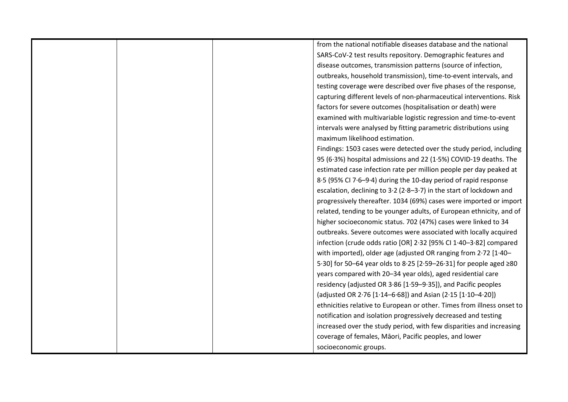| from the national notifiable diseases database and the national        |
|------------------------------------------------------------------------|
| SARS-CoV-2 test results repository. Demographic features and           |
| disease outcomes, transmission patterns (source of infection,          |
| outbreaks, household transmission), time-to-event intervals, and       |
| testing coverage were described over five phases of the response,      |
| capturing different levels of non-pharmaceutical interventions. Risk   |
| factors for severe outcomes (hospitalisation or death) were            |
| examined with multivariable logistic regression and time-to-event      |
| intervals were analysed by fitting parametric distributions using      |
| maximum likelihood estimation.                                         |
| Findings: 1503 cases were detected over the study period, including    |
| 95 (6.3%) hospital admissions and 22 (1.5%) COVID-19 deaths. The       |
| estimated case infection rate per million people per day peaked at     |
| 8.5 (95% CI 7.6-9.4) during the 10-day period of rapid response        |
| escalation, declining to 3.2 (2.8-3.7) in the start of lockdown and    |
| progressively thereafter. 1034 (69%) cases were imported or import     |
| related, tending to be younger adults, of European ethnicity, and of   |
| higher socioeconomic status. 702 (47%) cases were linked to 34         |
| outbreaks. Severe outcomes were associated with locally acquired       |
| infection (crude odds ratio [OR] 2.32 [95% CI 1.40-3.82] compared      |
| with imported), older age (adjusted OR ranging from 2.72 [1.40-        |
| 5.30] for 50–64 year olds to 8.25 [2.59–26.31] for people aged ≥80     |
| years compared with 20-34 year olds), aged residential care            |
| residency (adjusted OR 3.86 [1.59-9.35]), and Pacific peoples          |
| (adjusted OR 2.76 [1.14-6.68]) and Asian (2.15 [1.10-4.20])            |
| ethnicities relative to European or other. Times from illness onset to |
| notification and isolation progressively decreased and testing         |
| increased over the study period, with few disparities and increasing   |
| coverage of females, Māori, Pacific peoples, and lower                 |
| socioeconomic groups.                                                  |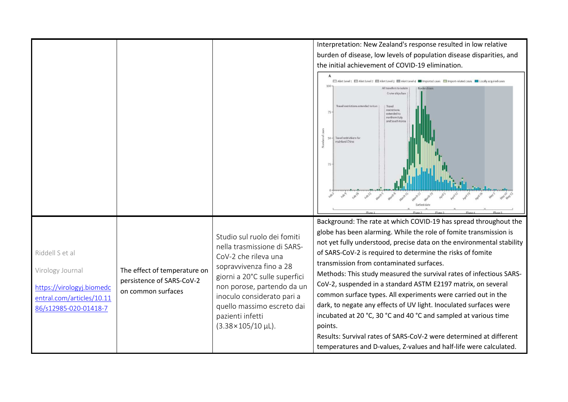|                                                                                                                        |                                                                                 |                                                                                                                                                                                                                                                                                                  | Interpretation: New Zealand's response resulted in low relative<br>burden of disease, low levels of population disease disparities, and<br>the initial achievement of COVID-19 elimination.<br>□ Alert Level 1 □ Alert Level 2 □ Alert Level 3 □ Alert Level 4 ■ Imported cases □ Import-related cases ■ Locally acquired cases<br><b>All travellers to isolate</b><br>Cruise ships ban<br>Travel restrictions extended to Iran<br>Travel<br>restrictions<br>75<br>extended to<br>northern Italy<br>and South Korea<br>Travel restrictions for<br>50<br>mainland China<br>25                                                                                                                                                                                                                                                    |
|------------------------------------------------------------------------------------------------------------------------|---------------------------------------------------------------------------------|--------------------------------------------------------------------------------------------------------------------------------------------------------------------------------------------------------------------------------------------------------------------------------------------------|---------------------------------------------------------------------------------------------------------------------------------------------------------------------------------------------------------------------------------------------------------------------------------------------------------------------------------------------------------------------------------------------------------------------------------------------------------------------------------------------------------------------------------------------------------------------------------------------------------------------------------------------------------------------------------------------------------------------------------------------------------------------------------------------------------------------------------|
| Riddell S et al<br>Virology Journal<br>https://virologyj.biomedc<br>entral.com/articles/10.11<br>86/s12985-020-01418-7 | The effect of temperature on<br>persistence of SARS-CoV-2<br>on common surfaces | Studio sul ruolo dei fomiti<br>nella trasmissione di SARS-<br>CoV-2 che rileva una<br>sopravvivenza fino a 28<br>giorni a 20°C sulle superfici<br>non porose, partendo da un<br>inoculo considerato pari a<br>quello massimo escreto dai<br>pazienti infetti<br>$(3.38 \times 105 / 10 \,\mu)$ . | Background: The rate at which COVID-19 has spread throughout the<br>globe has been alarming. While the role of fomite transmission is<br>not yet fully understood, precise data on the environmental stability<br>of SARS-CoV-2 is required to determine the risks of fomite<br>transmission from contaminated surfaces.<br>Methods: This study measured the survival rates of infectious SARS-<br>CoV-2, suspended in a standard ASTM E2197 matrix, on several<br>common surface types. All experiments were carried out in the<br>dark, to negate any effects of UV light. Inoculated surfaces were<br>incubated at 20 °C, 30 °C and 40 °C and sampled at various time<br>points.<br>Results: Survival rates of SARS-CoV-2 were determined at different<br>temperatures and D-values, Z-values and half-life were calculated. |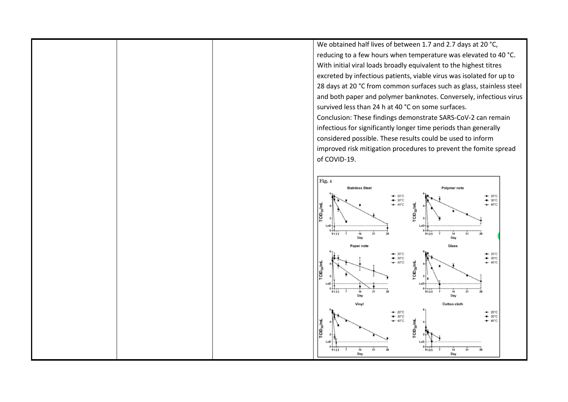We obtained half lives of between 1.7 and 2.7 days at 20 °C, reducing to a few hours when temperature was elevated to 40 °C. With initial viral loads broadly equivalent to the highest titres excreted by infectious patients, viable virus was isolated for up to 28 days at 20 °C from common surfaces such as glass, stainless steel and both paper and polymer banknotes. Conversely, infectious virus survived less than 24 h at 40 °C on some surfaces. Conclusion: These findings demonstrate SARS-CoV-2 can remain infectious for significantly longer time periods than generally considered possible. These results could be used to inform improved risk mitigation procedures to prevent the fomite spread of COVID-19.

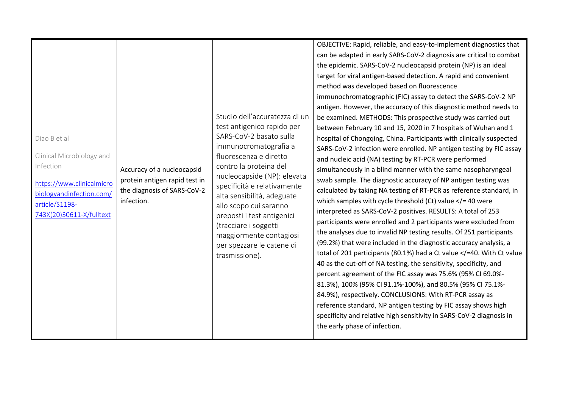| Diao B et al<br>Clinical Microbiology and<br>Infection<br>https://www.clinicalmicro<br>biologyandinfection.com/<br>article/S1198-<br>743X(20)30611-X/fulltext | Accuracy of a nucleocapsid<br>protein antigen rapid test in<br>the diagnosis of SARS-CoV-2<br>infection. | Studio dell'accuratezza di un<br>test antigenico rapido per<br>SARS-CoV-2 basato sulla<br>immunocromatografia a<br>fluorescenza e diretto<br>contro la proteina del<br>nucleocapside (NP): elevata<br>specificità e relativamente<br>alta sensibilità, adeguate<br>allo scopo cui saranno<br>preposti i test antigenici<br>(tracciare i soggetti<br>maggiormente contagiosi<br>per spezzare le catene di<br>trasmissione). | OBJECTIVE: Rapid, reliable, and easy-to-implement diagnostics that<br>can be adapted in early SARS-CoV-2 diagnosis are critical to combat<br>the epidemic. SARS-CoV-2 nucleocapsid protein (NP) is an ideal<br>target for viral antigen-based detection. A rapid and convenient<br>method was developed based on fluorescence<br>immunochromatographic (FIC) assay to detect the SARS-CoV-2 NP<br>antigen. However, the accuracy of this diagnostic method needs to<br>be examined. METHODS: This prospective study was carried out<br>between February 10 and 15, 2020 in 7 hospitals of Wuhan and 1<br>hospital of Chongqing, China. Participants with clinically suspected<br>SARS-CoV-2 infection were enrolled. NP antigen testing by FIC assay<br>and nucleic acid (NA) testing by RT-PCR were performed<br>simultaneously in a blind manner with the same nasopharyngeal<br>swab sample. The diagnostic accuracy of NP antigen testing was<br>calculated by taking NA testing of RT-PCR as reference standard, in<br>which samples with cycle threshold (Ct) value $\lt/$ = 40 were<br>interpreted as SARS-CoV-2 positives. RESULTS: A total of 253<br>participants were enrolled and 2 participants were excluded from<br>the analyses due to invalid NP testing results. Of 251 participants<br>(99.2%) that were included in the diagnostic accuracy analysis, a<br>total of 201 participants (80.1%) had a Ct value =40. With Ct value<br 40 as the cut-off of NA testing, the sensitivity, specificity, and<br>percent agreement of the FIC assay was 75.6% (95% CI 69.0%-<br>81.3%), 100% (95% CI 91.1%-100%), and 80.5% (95% CI 75.1%-<br>84.9%), respectively. CONCLUSIONS: With RT-PCR assay as<br>reference standard, NP antigen testing by FIC assay shows high<br>specificity and relative high sensitivity in SARS-CoV-2 diagnosis in<br>the early phase of infection. |
|---------------------------------------------------------------------------------------------------------------------------------------------------------------|----------------------------------------------------------------------------------------------------------|----------------------------------------------------------------------------------------------------------------------------------------------------------------------------------------------------------------------------------------------------------------------------------------------------------------------------------------------------------------------------------------------------------------------------|--------------------------------------------------------------------------------------------------------------------------------------------------------------------------------------------------------------------------------------------------------------------------------------------------------------------------------------------------------------------------------------------------------------------------------------------------------------------------------------------------------------------------------------------------------------------------------------------------------------------------------------------------------------------------------------------------------------------------------------------------------------------------------------------------------------------------------------------------------------------------------------------------------------------------------------------------------------------------------------------------------------------------------------------------------------------------------------------------------------------------------------------------------------------------------------------------------------------------------------------------------------------------------------------------------------------------------------------------------------------------------------------------------------------------------------------------------------------------------------------------------------------------------------------------------------------------------------------------------------------------------------------------------------------------------------------------------------------------------------------------------------------------------------------------------------------------------------------------------------------------------------------|
|---------------------------------------------------------------------------------------------------------------------------------------------------------------|----------------------------------------------------------------------------------------------------------|----------------------------------------------------------------------------------------------------------------------------------------------------------------------------------------------------------------------------------------------------------------------------------------------------------------------------------------------------------------------------------------------------------------------------|--------------------------------------------------------------------------------------------------------------------------------------------------------------------------------------------------------------------------------------------------------------------------------------------------------------------------------------------------------------------------------------------------------------------------------------------------------------------------------------------------------------------------------------------------------------------------------------------------------------------------------------------------------------------------------------------------------------------------------------------------------------------------------------------------------------------------------------------------------------------------------------------------------------------------------------------------------------------------------------------------------------------------------------------------------------------------------------------------------------------------------------------------------------------------------------------------------------------------------------------------------------------------------------------------------------------------------------------------------------------------------------------------------------------------------------------------------------------------------------------------------------------------------------------------------------------------------------------------------------------------------------------------------------------------------------------------------------------------------------------------------------------------------------------------------------------------------------------------------------------------------------------|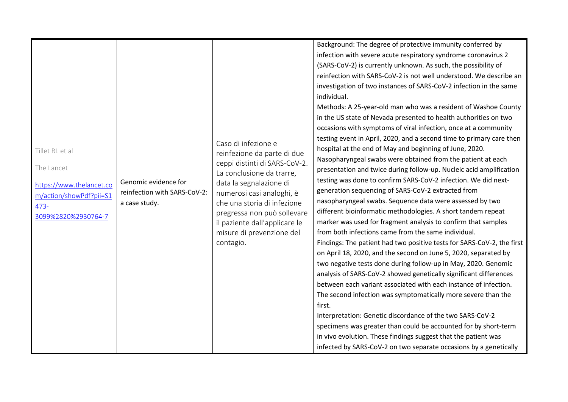| Tillet RL et al<br>The Lancet<br>https://www.thelancet.co<br>m/action/showPdf?pii=S1<br>$473 -$<br>3099%2820%2930764-7 | Genomic evidence for<br>reinfection with SARS-CoV-2:<br>a case study. | Caso di infezione e<br>reinfezione da parte di due<br>ceppi distinti di SARS-CoV-2.<br>La conclusione da trarre,<br>data la segnalazione di<br>numerosi casi analoghi, è<br>che una storia di infezione<br>pregressa non può sollevare<br>il paziente dall'applicare le<br>misure di prevenzione del<br>contagio. | Background: The degree of protective immunity conferred by<br>infection with severe acute respiratory syndrome coronavirus 2<br>(SARS-CoV-2) is currently unknown. As such, the possibility of<br>reinfection with SARS-CoV-2 is not well understood. We describe an<br>investigation of two instances of SARS-CoV-2 infection in the same<br>individual.<br>Methods: A 25-year-old man who was a resident of Washoe County<br>in the US state of Nevada presented to health authorities on two<br>occasions with symptoms of viral infection, once at a community<br>testing event in April, 2020, and a second time to primary care then<br>hospital at the end of May and beginning of June, 2020.<br>Nasopharyngeal swabs were obtained from the patient at each<br>presentation and twice during follow-up. Nucleic acid amplification<br>testing was done to confirm SARS-CoV-2 infection. We did next-<br>generation sequencing of SARS-CoV-2 extracted from<br>nasopharyngeal swabs. Sequence data were assessed by two<br>different bioinformatic methodologies. A short tandem repeat<br>marker was used for fragment analysis to confirm that samples<br>from both infections came from the same individual.<br>Findings: The patient had two positive tests for SARS-CoV-2, the first<br>on April 18, 2020, and the second on June 5, 2020, separated by |
|------------------------------------------------------------------------------------------------------------------------|-----------------------------------------------------------------------|-------------------------------------------------------------------------------------------------------------------------------------------------------------------------------------------------------------------------------------------------------------------------------------------------------------------|----------------------------------------------------------------------------------------------------------------------------------------------------------------------------------------------------------------------------------------------------------------------------------------------------------------------------------------------------------------------------------------------------------------------------------------------------------------------------------------------------------------------------------------------------------------------------------------------------------------------------------------------------------------------------------------------------------------------------------------------------------------------------------------------------------------------------------------------------------------------------------------------------------------------------------------------------------------------------------------------------------------------------------------------------------------------------------------------------------------------------------------------------------------------------------------------------------------------------------------------------------------------------------------------------------------------------------------------------------------------|
|                                                                                                                        |                                                                       |                                                                                                                                                                                                                                                                                                                   | two negative tests done during follow-up in May, 2020. Genomic<br>analysis of SARS-CoV-2 showed genetically significant differences<br>between each variant associated with each instance of infection.<br>The second infection was symptomatically more severe than the<br>first.<br>Interpretation: Genetic discordance of the two SARS-CoV-2<br>specimens was greater than could be accounted for by short-term<br>in vivo evolution. These findings suggest that the patient was<br>infected by SARS-CoV-2 on two separate occasions by a genetically                                                                                                                                                                                                                                                                                                                                                                                                                                                                                                                                                                                                                                                                                                                                                                                                            |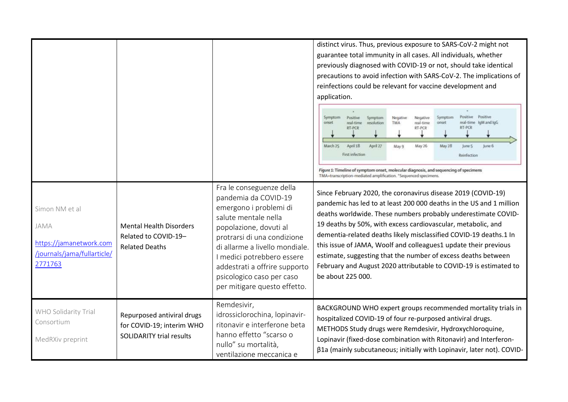|                                                                                             |                                                                                            |                                                                                                                                                                                                                                                                                                                           | distinct virus. Thus, previous exposure to SARS-CoV-2 might not<br>guarantee total immunity in all cases. All individuals, whether<br>previously diagnosed with COVID-19 or not, should take identical<br>precautions to avoid infection with SARS-CoV-2. The implications of<br>reinfections could be relevant for vaccine development and<br>application.                                                                                                                                                                                                             |
|---------------------------------------------------------------------------------------------|--------------------------------------------------------------------------------------------|---------------------------------------------------------------------------------------------------------------------------------------------------------------------------------------------------------------------------------------------------------------------------------------------------------------------------|-------------------------------------------------------------------------------------------------------------------------------------------------------------------------------------------------------------------------------------------------------------------------------------------------------------------------------------------------------------------------------------------------------------------------------------------------------------------------------------------------------------------------------------------------------------------------|
|                                                                                             |                                                                                            |                                                                                                                                                                                                                                                                                                                           | Positive<br>Positive<br>Symptom<br>Symptom<br>Positive<br>Symptom<br>Negative<br>Negative<br>real-time loM and loG<br>resolution<br><b>TMA</b><br>real-time<br>onset<br>onset<br>real-time<br><b>RT-PCR</b><br>RT-PCR<br>RT-PCR<br>April 18<br>March 25<br>April 27<br>May 26<br>May 28<br>June 5<br>June 6<br>May 9<br>First infection<br>Reinfection<br>Figure 1: Timeline of symptom onset, molecular diagnosis, and sequencing of specimens<br>TMA=transcription-mediated amplification. *Sequenced specimens.                                                      |
| Simon NM et al<br>JAMA<br>https://jamanetwork.com<br>/journals/jama/fullarticle/<br>2771763 | <b>Mental Health Disorders</b><br>Related to COVID-19-<br><b>Related Deaths</b>            | Fra le conseguenze della<br>pandemia da COVID-19<br>emergono i problemi di<br>salute mentale nella<br>popolazione, dovuti al<br>protrarsi di una condizione<br>di allarme a livello mondiale.<br>I medici potrebbero essere<br>addestrati a offrire supporto<br>psicologico caso per caso<br>per mitigare questo effetto. | Since February 2020, the coronavirus disease 2019 (COVID-19)<br>pandemic has led to at least 200 000 deaths in the US and 1 million<br>deaths worldwide. These numbers probably underestimate COVID-<br>19 deaths by 50%, with excess cardiovascular, metabolic, and<br>dementia-related deaths likely misclassified COVID-19 deaths.1 In<br>this issue of JAMA, Woolf and colleagues1 update their previous<br>estimate, suggesting that the number of excess deaths between<br>February and August 2020 attributable to COVID-19 is estimated to<br>be about 225 000. |
| WHO Solidarity Trial<br>Consortium<br>MedRXiv preprint                                      | Repurposed antiviral drugs<br>for COVID-19; interim WHO<br><b>SOLIDARITY trial results</b> | Remdesivir,<br>idrossiclorochina, lopinavir-<br>ritonavir e interferone beta<br>hanno effetto "scarso o<br>nullo" su mortalità,<br>ventilazione meccanica e                                                                                                                                                               | BACKGROUND WHO expert groups recommended mortality trials in<br>hospitalized COVID-19 of four re-purposed antiviral drugs.<br>METHODS Study drugs were Remdesivir, Hydroxychloroquine,<br>Lopinavir (fixed-dose combination with Ritonavir) and Interferon-<br>β1a (mainly subcutaneous; initially with Lopinavir, later not). COVID-                                                                                                                                                                                                                                   |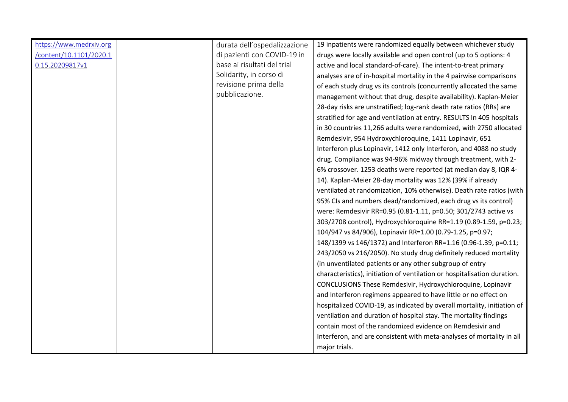| https://www.medrxiv.org<br>/content/10.1101/2020.1<br>0.15.20209817v1 | durata dell'ospedalizzazione<br>di pazienti con COVID-19 in<br>base ai risultati del trial<br>Solidarity, in corso di<br>revisione prima della<br>pubblicazione. | 19 inpatients were randomized equally between whichever study<br>drugs were locally available and open control (up to 5 options: 4<br>active and local standard-of-care). The intent-to-treat primary<br>analyses are of in-hospital mortality in the 4 pairwise comparisons<br>of each study drug vs its controls (concurrently allocated the same<br>management without that drug, despite availability). Kaplan-Meier<br>28-day risks are unstratified; log-rank death rate ratios (RRs) are<br>stratified for age and ventilation at entry. RESULTS In 405 hospitals<br>in 30 countries 11,266 adults were randomized, with 2750 allocated<br>Remdesivir, 954 Hydroxychloroquine, 1411 Lopinavir, 651<br>Interferon plus Lopinavir, 1412 only Interferon, and 4088 no study<br>drug. Compliance was 94-96% midway through treatment, with 2-<br>6% crossover. 1253 deaths were reported (at median day 8, IQR 4-<br>14). Kaplan-Meier 28-day mortality was 12% (39% if already<br>ventilated at randomization, 10% otherwise). Death rate ratios (with<br>95% CIs and numbers dead/randomized, each drug vs its control)<br>were: Remdesivir RR=0.95 (0.81-1.11, p=0.50; 301/2743 active vs<br>303/2708 control), Hydroxychloroquine RR=1.19 (0.89-1.59, p=0.23;<br>104/947 vs 84/906), Lopinavir RR=1.00 (0.79-1.25, p=0.97;<br>148/1399 vs 146/1372) and Interferon RR=1.16 (0.96-1.39, p=0.11;<br>243/2050 vs 216/2050). No study drug definitely reduced mortality<br>(in unventilated patients or any other subgroup of entry<br>characteristics), initiation of ventilation or hospitalisation duration.<br>CONCLUSIONS These Remdesivir, Hydroxychloroquine, Lopinavir<br>and Interferon regimens appeared to have little or no effect on<br>hospitalized COVID-19, as indicated by overall mortality, initiation of<br>ventilation and duration of hospital stay. The mortality findings<br>contain most of the randomized evidence on Remdesivir and |
|-----------------------------------------------------------------------|------------------------------------------------------------------------------------------------------------------------------------------------------------------|-------------------------------------------------------------------------------------------------------------------------------------------------------------------------------------------------------------------------------------------------------------------------------------------------------------------------------------------------------------------------------------------------------------------------------------------------------------------------------------------------------------------------------------------------------------------------------------------------------------------------------------------------------------------------------------------------------------------------------------------------------------------------------------------------------------------------------------------------------------------------------------------------------------------------------------------------------------------------------------------------------------------------------------------------------------------------------------------------------------------------------------------------------------------------------------------------------------------------------------------------------------------------------------------------------------------------------------------------------------------------------------------------------------------------------------------------------------------------------------------------------------------------------------------------------------------------------------------------------------------------------------------------------------------------------------------------------------------------------------------------------------------------------------------------------------------------------------------------------------------------------------------------------------------------------------------------------------------|
|                                                                       |                                                                                                                                                                  | Interferon, and are consistent with meta-analyses of mortality in all<br>major trials.                                                                                                                                                                                                                                                                                                                                                                                                                                                                                                                                                                                                                                                                                                                                                                                                                                                                                                                                                                                                                                                                                                                                                                                                                                                                                                                                                                                                                                                                                                                                                                                                                                                                                                                                                                                                                                                                            |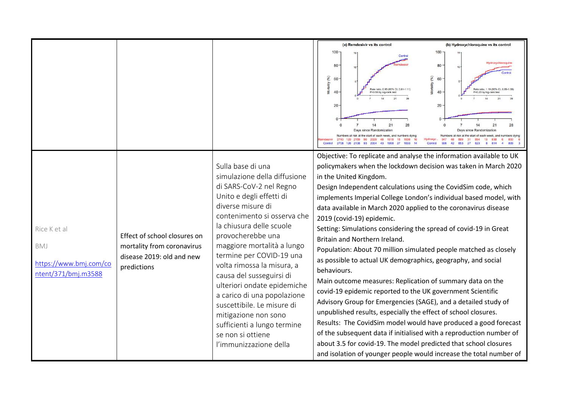|                                                                      |                                                                                                        |                                                                                                                                                                                                                                                                                                                                                                                                                                                                                                                                     | (a) Remdesivir vs its control                                                                                                                                                                                                                                                                                                                                                                                                                                                                                                                                                                                                                                                                                                                                                                                                                                                                                                                                                                                                                                                                                                                                                                                      | (b) Hydroxychloroquine vs its control                                                                                            |
|----------------------------------------------------------------------|--------------------------------------------------------------------------------------------------------|-------------------------------------------------------------------------------------------------------------------------------------------------------------------------------------------------------------------------------------------------------------------------------------------------------------------------------------------------------------------------------------------------------------------------------------------------------------------------------------------------------------------------------------|--------------------------------------------------------------------------------------------------------------------------------------------------------------------------------------------------------------------------------------------------------------------------------------------------------------------------------------------------------------------------------------------------------------------------------------------------------------------------------------------------------------------------------------------------------------------------------------------------------------------------------------------------------------------------------------------------------------------------------------------------------------------------------------------------------------------------------------------------------------------------------------------------------------------------------------------------------------------------------------------------------------------------------------------------------------------------------------------------------------------------------------------------------------------------------------------------------------------|----------------------------------------------------------------------------------------------------------------------------------|
|                                                                      |                                                                                                        |                                                                                                                                                                                                                                                                                                                                                                                                                                                                                                                                     | $100 -$<br>Contra<br>80<br>rtality (%)<br>60<br>Š<br>$40 -$<br>P=0.50 by log-rank tes<br>$20 -$<br>21<br>Days since Randomization<br>2743 120 2150 00<br>1918<br>18<br><b>1838</b><br>2020<br>48<br><b>1833</b><br>Control                                                                                                                                                                                                                                                                                                                                                                                                                                                                                                                                                                                                                                                                                                                                                                                                                                                                                                                                                                                         | 100<br>80<br>Mortality (%)<br>60<br>$40 -$<br>P=0.23 by log-rank tes<br>20 <sub>2</sub><br>21<br>Days since Randomization<br>833 |
| Rice K et al<br>BMJ<br>https://www.bmj.com/co<br>ntent/371/bmj.m3588 | Effect of school closures on<br>mortality from coronavirus<br>disease 2019: old and new<br>predictions | Sulla base di una<br>simulazione della diffusione<br>di SARS-CoV-2 nel Regno<br>Unito e degli effetti di<br>diverse misure di<br>contenimento si osserva che<br>la chiusura delle scuole<br>provocherebbe una<br>maggiore mortalità a lungo<br>termine per COVID-19 una<br>volta rimossa la misura, a<br>causa del susseguirsi di<br>ulteriori ondate epidemiche<br>a carico di una popolazione<br>suscettibile. Le misure di<br>mitigazione non sono<br>sufficienti a lungo termine<br>se non si ottiene<br>l'immunizzazione della | Objective: To replicate and analyse the information available to UK<br>policymakers when the lockdown decision was taken in March 2020<br>in the United Kingdom.<br>Design Independent calculations using the CovidSim code, which<br>implements Imperial College London's individual based model, with<br>data available in March 2020 applied to the coronavirus disease<br>2019 (covid-19) epidemic.<br>Setting: Simulations considering the spread of covid-19 in Great<br>Britain and Northern Ireland.<br>Population: About 70 million simulated people matched as closely<br>as possible to actual UK demographics, geography, and social<br>behaviours.<br>Main outcome measures: Replication of summary data on the<br>covid-19 epidemic reported to the UK government Scientific<br>Advisory Group for Emergencies (SAGE), and a detailed study of<br>unpublished results, especially the effect of school closures.<br>Results: The CovidSim model would have produced a good forecast<br>of the subsequent data if initialised with a reproduction number of<br>about 3.5 for covid-19. The model predicted that school closures<br>and isolation of younger people would increase the total number of |                                                                                                                                  |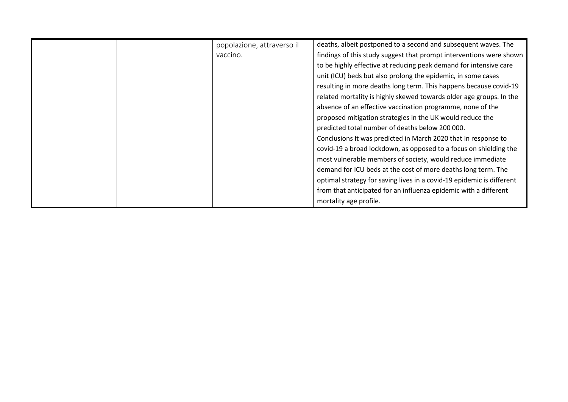| popolazione, attraverso il | deaths, albeit postponed to a second and subsequent waves. The        |
|----------------------------|-----------------------------------------------------------------------|
| vaccino.                   | findings of this study suggest that prompt interventions were shown   |
|                            | to be highly effective at reducing peak demand for intensive care     |
|                            | unit (ICU) beds but also prolong the epidemic, in some cases          |
|                            | resulting in more deaths long term. This happens because covid-19     |
|                            | related mortality is highly skewed towards older age groups. In the   |
|                            | absence of an effective vaccination programme, none of the            |
|                            | proposed mitigation strategies in the UK would reduce the             |
|                            | predicted total number of deaths below 200 000.                       |
|                            | Conclusions It was predicted in March 2020 that in response to        |
|                            | covid-19 a broad lockdown, as opposed to a focus on shielding the     |
|                            | most vulnerable members of society, would reduce immediate            |
|                            | demand for ICU beds at the cost of more deaths long term. The         |
|                            | optimal strategy for saving lives in a covid-19 epidemic is different |
|                            | from that anticipated for an influenza epidemic with a different      |
|                            | mortality age profile.                                                |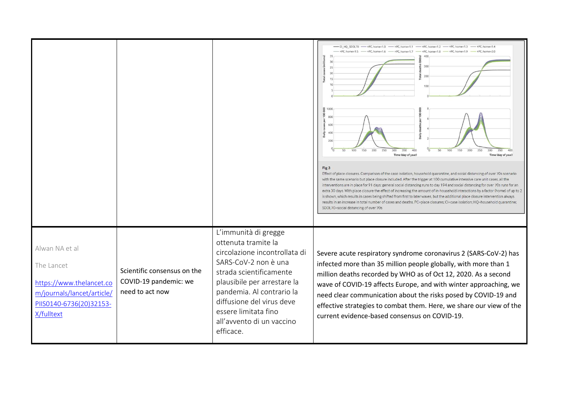|                                                                                                                                 |                                                                         |                                                                                                                                                                                                                                                                                            | - CI HQ SDOL70 - +PC, home=1.0 - +PC, home=1.1 - +PC, home=1.2 - +PC, home=1.3<br>$+Pf$ home=1.5<br>$+Pf$ home=1.6<br>$+Df$ home=1.7<br>$+PC$ , home=1 $R$<br>$+PC$ home=1.9<br>20<br>300<br>25<br>20<br>otal<br>200<br>g<br>15<br>8 1000<br>aths per 10000<br>8<br>800<br>600<br>400<br>Daily<br>200<br>150<br>200<br>150<br>200<br>250<br>100<br>250<br>300<br>350<br>400<br>50<br>100<br>300<br>350<br>Time (day of year)<br>Time (day of year)<br>Fig 3<br>Effect of place closures. Comparison of the case isolation, household quarantine, and social distancing of over 70s scenario<br>with the same scenario but place closure included. After the trigger at 100 cumulative intensive care unit cases, all the<br>interventions are in place for 91 days: general social distancing runs to day 194 and social distancing for over 70s runs for an<br>extra 30 days. With place closure the effect of increasing the amount of in-household interactions by a factor (home) of up to 2<br>is shown, which results in cases being shifted from first to later waves, but the additional place closure intervention always<br>results in an increase in total number of cases and deaths. PC=place closures; Cl=case isolation; HQ=household quarantine;<br>SDOL70=social distancing of over 70s |
|---------------------------------------------------------------------------------------------------------------------------------|-------------------------------------------------------------------------|--------------------------------------------------------------------------------------------------------------------------------------------------------------------------------------------------------------------------------------------------------------------------------------------|----------------------------------------------------------------------------------------------------------------------------------------------------------------------------------------------------------------------------------------------------------------------------------------------------------------------------------------------------------------------------------------------------------------------------------------------------------------------------------------------------------------------------------------------------------------------------------------------------------------------------------------------------------------------------------------------------------------------------------------------------------------------------------------------------------------------------------------------------------------------------------------------------------------------------------------------------------------------------------------------------------------------------------------------------------------------------------------------------------------------------------------------------------------------------------------------------------------------------------------------------------------------------------------------------------|
| Alwan NA et al<br>The Lancet<br>https://www.thelancet.co<br>m/journals/lancet/article/<br>PIISO140-6736(20)32153-<br>X/fulltext | Scientific consensus on the<br>COVID-19 pandemic: we<br>need to act now | L'immunità di gregge<br>ottenuta tramite la<br>circolazione incontrollata di<br>SARS-CoV-2 non è una<br>strada scientificamente<br>plausibile per arrestare la<br>pandemia. Al contrario la<br>diffusione del virus deve<br>essere limitata fino<br>all'avvento di un vaccino<br>efficace. | Severe acute respiratory syndrome coronavirus 2 (SARS-CoV-2) has<br>infected more than 35 million people globally, with more than 1<br>million deaths recorded by WHO as of Oct 12, 2020. As a second<br>wave of COVID-19 affects Europe, and with winter approaching, we<br>need clear communication about the risks posed by COVID-19 and<br>effective strategies to combat them. Here, we share our view of the<br>current evidence-based consensus on COVID-19.                                                                                                                                                                                                                                                                                                                                                                                                                                                                                                                                                                                                                                                                                                                                                                                                                                      |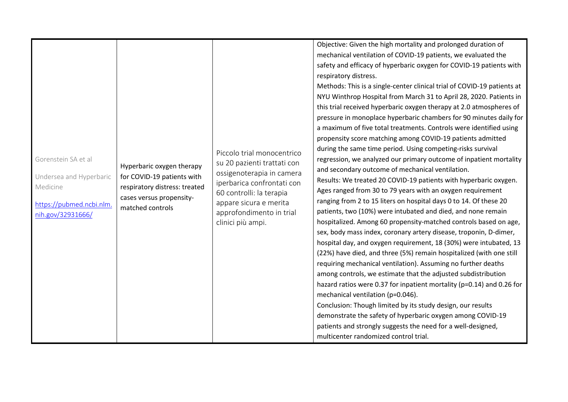| Gorenstein SA et al<br>Undersea and Hyperbaric<br>Medicine<br>https://pubmed.ncbi.nlm.<br>nih.gov/32931666/ | Hyperbaric oxygen therapy<br>for COVID-19 patients with<br>respiratory distress: treated<br>cases versus propensity-<br>matched controls | Piccolo trial monocentrico<br>su 20 pazienti trattati con<br>ossigenoterapia in camera<br>iperbarica confrontati con<br>60 controlli: la terapia<br>appare sicura e merita<br>approfondimento in trial<br>clinici più ampi. | Objective: Given the high mortality and prolonged duration of<br>mechanical ventilation of COVID-19 patients, we evaluated the<br>safety and efficacy of hyperbaric oxygen for COVID-19 patients with<br>respiratory distress.<br>Methods: This is a single-center clinical trial of COVID-19 patients at<br>NYU Winthrop Hospital from March 31 to April 28, 2020. Patients in<br>this trial received hyperbaric oxygen therapy at 2.0 atmospheres of<br>pressure in monoplace hyperbaric chambers for 90 minutes daily for<br>a maximum of five total treatments. Controls were identified using<br>propensity score matching among COVID-19 patients admitted<br>during the same time period. Using competing-risks survival<br>regression, we analyzed our primary outcome of inpatient mortality<br>and secondary outcome of mechanical ventilation.<br>Results: We treated 20 COVID-19 patients with hyperbaric oxygen.<br>Ages ranged from 30 to 79 years with an oxygen requirement<br>ranging from 2 to 15 liters on hospital days 0 to 14. Of these 20<br>patients, two (10%) were intubated and died, and none remain<br>hospitalized. Among 60 propensity-matched controls based on age,<br>sex, body mass index, coronary artery disease, troponin, D-dimer,<br>hospital day, and oxygen requirement, 18 (30%) were intubated, 13<br>(22%) have died, and three (5%) remain hospitalized (with one still<br>requiring mechanical ventilation). Assuming no further deaths<br>among controls, we estimate that the adjusted subdistribution<br>hazard ratios were 0.37 for inpatient mortality (p=0.14) and 0.26 for<br>mechanical ventilation (p=0.046).<br>Conclusion: Though limited by its study design, our results |
|-------------------------------------------------------------------------------------------------------------|------------------------------------------------------------------------------------------------------------------------------------------|-----------------------------------------------------------------------------------------------------------------------------------------------------------------------------------------------------------------------------|--------------------------------------------------------------------------------------------------------------------------------------------------------------------------------------------------------------------------------------------------------------------------------------------------------------------------------------------------------------------------------------------------------------------------------------------------------------------------------------------------------------------------------------------------------------------------------------------------------------------------------------------------------------------------------------------------------------------------------------------------------------------------------------------------------------------------------------------------------------------------------------------------------------------------------------------------------------------------------------------------------------------------------------------------------------------------------------------------------------------------------------------------------------------------------------------------------------------------------------------------------------------------------------------------------------------------------------------------------------------------------------------------------------------------------------------------------------------------------------------------------------------------------------------------------------------------------------------------------------------------------------------------------------------------------------------------------------------------------------|
|                                                                                                             |                                                                                                                                          |                                                                                                                                                                                                                             | demonstrate the safety of hyperbaric oxygen among COVID-19<br>patients and strongly suggests the need for a well-designed,<br>multicenter randomized control trial.                                                                                                                                                                                                                                                                                                                                                                                                                                                                                                                                                                                                                                                                                                                                                                                                                                                                                                                                                                                                                                                                                                                                                                                                                                                                                                                                                                                                                                                                                                                                                                  |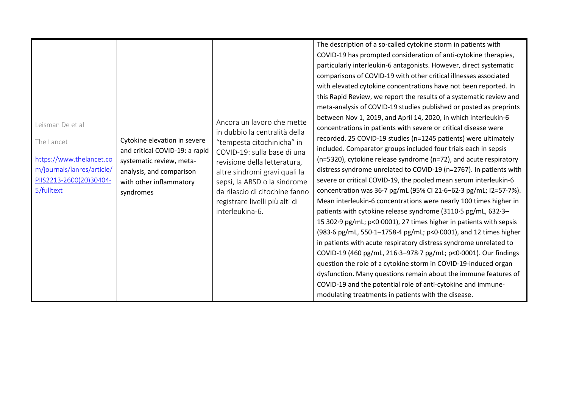|                                                     | Leisman De et al<br>The Lancet<br>https://www.thelancet.co<br>m/journals/lanres/article/<br>PIIS2213-2600(20)30404-<br>5/fulltext | Cytokine elevation in severe<br>and critical COVID-19: a rapid<br>systematic review, meta-<br>analysis, and comparison<br>with other inflammatory<br>syndromes | Ancora un lavoro che mette<br>in dubbio la centralità della<br>"tempesta citochinicha" in<br>COVID-19: sulla base di una<br>revisione della letteratura,<br>altre sindromi gravi quali la<br>sepsi, la ARSD o la sindrome<br>da rilascio di citochine fanno<br>registrare livelli più alti di<br>interleukina-6. | The description of a so-called cytokine storm in patients with<br>COVID-19 has prompted consideration of anti-cytokine therapies,<br>particularly interleukin-6 antagonists. However, direct systematic<br>comparisons of COVID-19 with other critical illnesses associated<br>with elevated cytokine concentrations have not been reported. In<br>this Rapid Review, we report the results of a systematic review and<br>meta-analysis of COVID-19 studies published or posted as preprints<br>between Nov 1, 2019, and April 14, 2020, in which interleukin-6<br>concentrations in patients with severe or critical disease were<br>recorded. 25 COVID-19 studies (n=1245 patients) were ultimately<br>included. Comparator groups included four trials each in sepsis<br>(n=5320), cytokine release syndrome (n=72), and acute respiratory<br>distress syndrome unrelated to COVID-19 (n=2767). In patients with<br>severe or critical COVID-19, the pooled mean serum interleukin-6<br>concentration was 36.7 pg/mL (95% CI 21.6-62.3 pg/mL; I2=57.7%).<br>Mean interleukin-6 concentrations were nearly 100 times higher in<br>patients with cytokine release syndrome (3110.5 pg/mL, 632.3-<br>15 302.9 pg/mL; p<0.0001), 27 times higher in patients with sepsis<br>(983.6 pg/mL, 550.1-1758.4 pg/mL; p<0.0001), and 12 times higher<br>in patients with acute respiratory distress syndrome unrelated to<br>COVID-19 (460 pg/mL, 216.3-978.7 pg/mL; p<0.0001). Our findings<br>question the role of a cytokine storm in COVID-19-induced organ |
|-----------------------------------------------------|-----------------------------------------------------------------------------------------------------------------------------------|----------------------------------------------------------------------------------------------------------------------------------------------------------------|------------------------------------------------------------------------------------------------------------------------------------------------------------------------------------------------------------------------------------------------------------------------------------------------------------------|--------------------------------------------------------------------------------------------------------------------------------------------------------------------------------------------------------------------------------------------------------------------------------------------------------------------------------------------------------------------------------------------------------------------------------------------------------------------------------------------------------------------------------------------------------------------------------------------------------------------------------------------------------------------------------------------------------------------------------------------------------------------------------------------------------------------------------------------------------------------------------------------------------------------------------------------------------------------------------------------------------------------------------------------------------------------------------------------------------------------------------------------------------------------------------------------------------------------------------------------------------------------------------------------------------------------------------------------------------------------------------------------------------------------------------------------------------------------------------------------------------------------------------------------------------|
| modulating treatments in patients with the disease. |                                                                                                                                   |                                                                                                                                                                |                                                                                                                                                                                                                                                                                                                  | dysfunction. Many questions remain about the immune features of<br>COVID-19 and the potential role of anti-cytokine and immune-                                                                                                                                                                                                                                                                                                                                                                                                                                                                                                                                                                                                                                                                                                                                                                                                                                                                                                                                                                                                                                                                                                                                                                                                                                                                                                                                                                                                                        |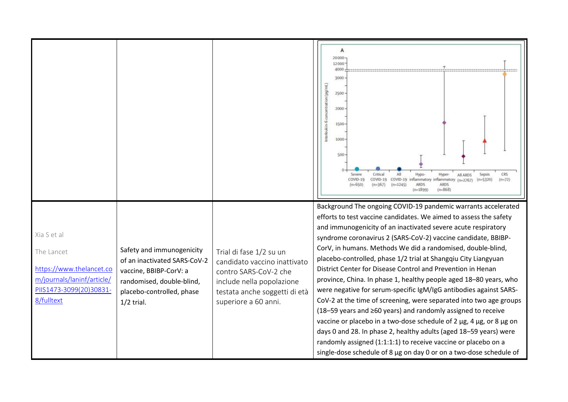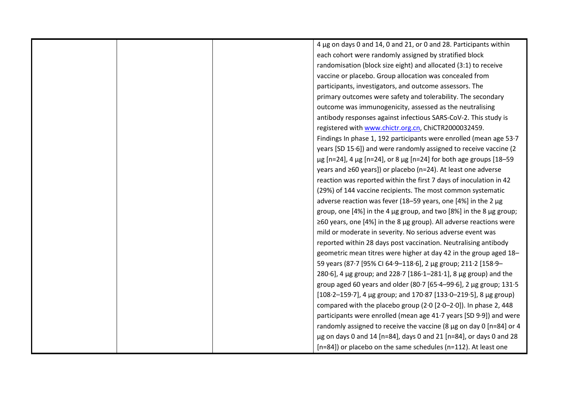|  | 4 µg on days 0 and 14, 0 and 21, or 0 and 28. Participants within                |
|--|----------------------------------------------------------------------------------|
|  | each cohort were randomly assigned by stratified block                           |
|  | randomisation (block size eight) and allocated (3:1) to receive                  |
|  | vaccine or placebo. Group allocation was concealed from                          |
|  | participants, investigators, and outcome assessors. The                          |
|  | primary outcomes were safety and tolerability. The secondary                     |
|  | outcome was immunogenicity, assessed as the neutralising                         |
|  | antibody responses against infectious SARS-CoV-2. This study is                  |
|  | registered with www.chictr.org.cn, ChiCTR2000032459.                             |
|  | Findings In phase 1, 192 participants were enrolled (mean age 53.7               |
|  | years [SD 15.6]) and were randomly assigned to receive vaccine (2                |
|  | $\mu$ g [n=24], 4 $\mu$ g [n=24], or 8 $\mu$ g [n=24] for both age groups [18-59 |
|  | years and ≥60 years]) or placebo (n=24). At least one adverse                    |
|  | reaction was reported within the first 7 days of inoculation in 42               |
|  | (29%) of 144 vaccine recipients. The most common systematic                      |
|  | adverse reaction was fever (18-59 years, one [4%] in the 2 µg                    |
|  | group, one [4%] in the 4 µg group, and two [8%] in the 8 µg group;               |
|  | $\geq$ 60 years, one [4%] in the 8 µg group). All adverse reactions were         |
|  | mild or moderate in severity. No serious adverse event was                       |
|  | reported within 28 days post vaccination. Neutralising antibody                  |
|  | geometric mean titres were higher at day 42 in the group aged 18-                |
|  | 59 years (87.7 [95% CI 64.9-118.6], 2 μg group; 211.2 [158.9-                    |
|  | 280.6], 4 µg group; and 228.7 [186.1-281.1], 8 µg group) and the                 |
|  | group aged 60 years and older (80.7 [65.4-99.6], 2 µg group; 131.5               |
|  | [108.2-159.7], 4 µg group; and 170.87 [133.0-219.5], 8 µg group)                 |
|  | compared with the placebo group $(2.0 [2.0-2.0])$ . In phase 2, 448              |
|  | participants were enrolled (mean age 41.7 years [SD 9.9]) and were               |
|  | randomly assigned to receive the vaccine (8 $\mu$ g on day 0 [n=84] or 4         |
|  | $\mu$ g on days 0 and 14 [n=84], days 0 and 21 [n=84], or days 0 and 28          |
|  | [n=84]) or placebo on the same schedules (n=112). At least one                   |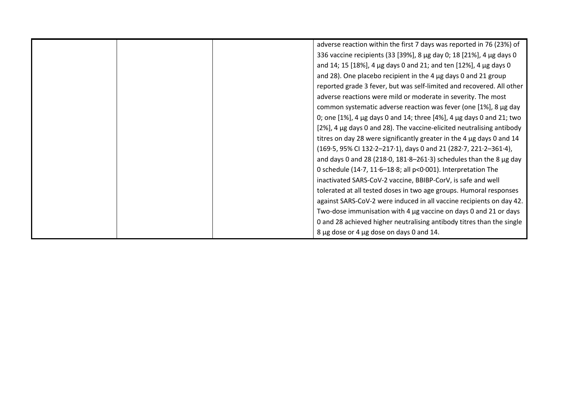| adverse reaction within the first 7 days was reported in 76 (23%) of           |
|--------------------------------------------------------------------------------|
| 336 vaccine recipients (33 [39%], 8 µg day 0; 18 [21%], 4 µg days 0            |
| and 14; 15 [18%], 4 $\mu$ g days 0 and 21; and ten [12%], 4 $\mu$ g days 0     |
| and 28). One placebo recipient in the 4 µg days 0 and 21 group                 |
| reported grade 3 fever, but was self-limited and recovered. All other          |
| adverse reactions were mild or moderate in severity. The most                  |
| common systematic adverse reaction was fever (one [1%], 8 μg day               |
| 0; one [1%], 4 $\mu$ g days 0 and 14; three [4%], 4 $\mu$ g days 0 and 21; two |
| [2%], 4 µg days 0 and 28). The vaccine-elicited neutralising antibody          |
| titres on day 28 were significantly greater in the 4 µg days 0 and 14          |
| (169.5, 95% Cl 132.2-217.1), days 0 and 21 (282.7, 221.2-361.4),               |
| and days 0 and 28 (218.0, $181.8-261.3$ ) schedules than the 8 $\mu$ g day     |
| 0 schedule (14.7, 11.6-18.8; all p<0.001). Interpretation The                  |
| inactivated SARS-CoV-2 vaccine, BBIBP-CorV, is safe and well                   |
| tolerated at all tested doses in two age groups. Humoral responses             |
| against SARS-CoV-2 were induced in all vaccine recipients on day 42.           |
| Two-dose immunisation with 4 µg vaccine on days 0 and 21 or days               |
| 0 and 28 achieved higher neutralising antibody titres than the single          |
| 8 µg dose or 4 µg dose on days 0 and 14.                                       |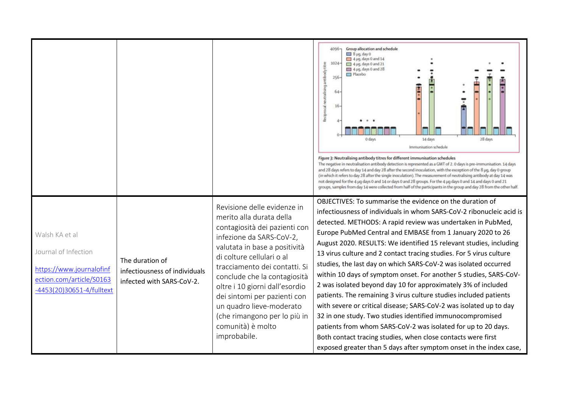|                                                                                                                             |                                                                               |                                                                                                                                                                                                                                                                                                                                                                                                                        | Group allocation and schedule<br>4096-<br>8 µg, day 0<br>$\Box$ 4 µq, days 0 and 14<br>$-1024-$<br>Reciprocal neutralising antibody titre<br>4 µq, days 0 and 21<br><sup>11</sup> 4 µg, days 0 and 28<br><sup>Placebo</sup><br>256<br>64<br>16<br>28 days<br>14 days<br>0 days<br>Immunisation schedule<br>Figure 3: Neutralising antibody titres for different immunisation schedules<br>The negative in neutralisation antibody detection is represented as a GMT of 2.0 days is pre-immunisation. 14 days<br>and 28 days refers to day 14 and day 28 after the second inoculation, with the exception of the 8 µg, day 0 group<br>(in which it refers to day 28 after the single inoculation). The measurement of neutralising antibody at day 14 was<br>not designed for the 4 µq days 0 and 14 or days 0 and 28 groups. For the 4 µq days 0 and 14 and days 0 and 21<br>groups, samples from day 14 were collected from half of the participants in the group and day 28 from the other half.                                 |
|-----------------------------------------------------------------------------------------------------------------------------|-------------------------------------------------------------------------------|------------------------------------------------------------------------------------------------------------------------------------------------------------------------------------------------------------------------------------------------------------------------------------------------------------------------------------------------------------------------------------------------------------------------|------------------------------------------------------------------------------------------------------------------------------------------------------------------------------------------------------------------------------------------------------------------------------------------------------------------------------------------------------------------------------------------------------------------------------------------------------------------------------------------------------------------------------------------------------------------------------------------------------------------------------------------------------------------------------------------------------------------------------------------------------------------------------------------------------------------------------------------------------------------------------------------------------------------------------------------------------------------------------------------------------------------------------------|
| Walsh KA et al<br>Journal of Infection<br>https://www.journalofinf<br>ection.com/article/S0163<br>-4453(20)30651-4/fulltext | The duration of<br>infectiousness of individuals<br>infected with SARS-CoV-2. | Revisione delle evidenze in<br>merito alla durata della<br>contagiosità dei pazienti con<br>infezione da SARS-CoV-2,<br>valutata in base a positività<br>di colture cellulari o al<br>tracciamento dei contatti. Si<br>conclude che la contagiosità<br>oltre i 10 giorni dall'esordio<br>dei sintomi per pazienti con<br>un quadro lieve-moderato<br>(che rimangono per lo più in<br>comunità) è molto<br>improbabile. | OBJECTIVES: To summarise the evidence on the duration of<br>infectiousness of individuals in whom SARS-CoV-2 ribonucleic acid is<br>detected. METHODS: A rapid review was undertaken in PubMed,<br>Europe PubMed Central and EMBASE from 1 January 2020 to 26<br>August 2020. RESULTS: We identified 15 relevant studies, including<br>13 virus culture and 2 contact tracing studies. For 5 virus culture<br>studies, the last day on which SARS-CoV-2 was isolated occurred<br>within 10 days of symptom onset. For another 5 studies, SARS-CoV-<br>2 was isolated beyond day 10 for approximately 3% of included<br>patients. The remaining 3 virus culture studies included patients<br>with severe or critical disease; SARS-CoV-2 was isolated up to day<br>32 in one study. Two studies identified immunocompromised<br>patients from whom SARS-CoV-2 was isolated for up to 20 days.<br>Both contact tracing studies, when close contacts were first<br>exposed greater than 5 days after symptom onset in the index case, |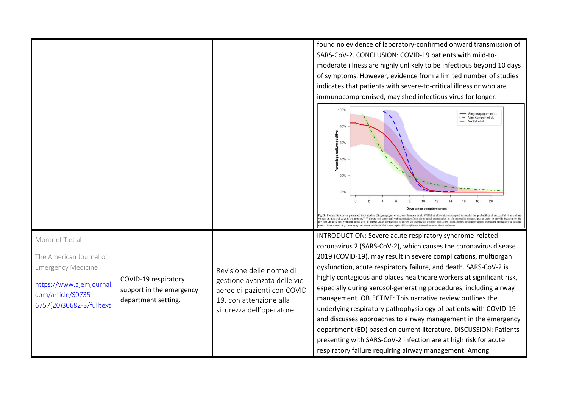found no evidence of laboratory-confirmed onward transmission of SARS-CoV-2. CONCLUSION: COVID-19 patients with mild-tomoderate illness are highly unlikely to be infectious beyond 10 days of symptoms. However, evidence from a limited number of studies indicates that patients with severe-to-critical illness or who are immunocompromised, may shed infectious virus for longer. 100% Singanayagam et al.  $\cdot$  - Van Kampen et al. Wolfel et al.  $60%$  $40%$  $\overline{2}$  $14$ 16 18  $20$ Fig. 3. Probability curves presented in 3 studies (Singanayagam et al., van Kampen et al., Wölfel et al.) which attempted to model the probability of successful virus culture Fig. 3. From and the systems in 1983 and the system of the diagram of the system of the system in the respective manuscripts in order to provide information for the provide information for the system of the system of the s culture versus days post symptom onset, while shaded areas depict 95% confidence intervals are INTRODUCTION: Severe acute respiratory syndrome-related Montrief T et al coronavirus 2 (SARS-CoV-2), which causes the coronavirus disease 2019 (COVID-19), may result in severe complications, multiorgan The American Journal of dysfunction, acute respiratory failure, and death. SARS-CoV-2 is Emergency Medicine Revisione delle norme di highly contagious and places healthcare workers at significant risk, COVID-19 respiratory gestione avanzata delle vie https://www.ajemjournal.especially during aerosol-generating procedures, including airway support in the emergency aeree di pazienti con COVIDcom/article/S0735management. OBJECTIVE: This narrative review outlines the department setting. 19, con attenzione alla 6757(20)30682-3/fulltextunderlying respiratory pathophysiology of patients with COVID-19 sicurezza dell'operatore. and discusses approaches to airway management in the emergency department (ED) based on current literature. DISCUSSION: Patients presenting with SARS-CoV-2 infection are at high risk for acute respiratory failure requiring airway management. Among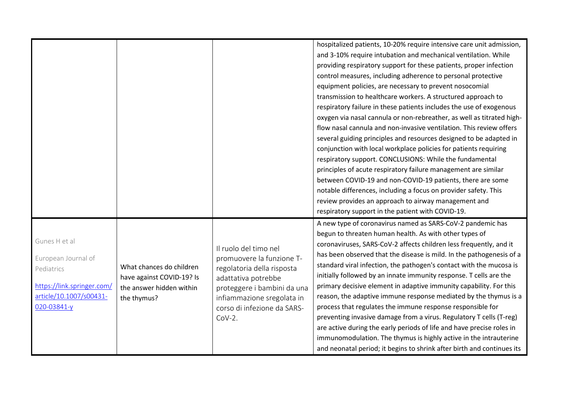|                                                                                                                            |                                                                                                  |                                                                                                                                                                                                                  | hospitalized patients, 10-20% require intensive care unit admission,<br>and 3-10% require intubation and mechanical ventilation. While<br>providing respiratory support for these patients, proper infection<br>control measures, including adherence to personal protective<br>equipment policies, are necessary to prevent nosocomial<br>transmission to healthcare workers. A structured approach to<br>respiratory failure in these patients includes the use of exogenous<br>oxygen via nasal cannula or non-rebreather, as well as titrated high-<br>flow nasal cannula and non-invasive ventilation. This review offers<br>several guiding principles and resources designed to be adapted in<br>conjunction with local workplace policies for patients requiring<br>respiratory support. CONCLUSIONS: While the fundamental<br>principles of acute respiratory failure management are similar<br>between COVID-19 and non-COVID-19 patients, there are some<br>notable differences, including a focus on provider safety. This<br>review provides an approach to airway management and |
|----------------------------------------------------------------------------------------------------------------------------|--------------------------------------------------------------------------------------------------|------------------------------------------------------------------------------------------------------------------------------------------------------------------------------------------------------------------|------------------------------------------------------------------------------------------------------------------------------------------------------------------------------------------------------------------------------------------------------------------------------------------------------------------------------------------------------------------------------------------------------------------------------------------------------------------------------------------------------------------------------------------------------------------------------------------------------------------------------------------------------------------------------------------------------------------------------------------------------------------------------------------------------------------------------------------------------------------------------------------------------------------------------------------------------------------------------------------------------------------------------------------------------------------------------------------------|
| Gunes H et al<br>European Journal of<br>Pediatrics<br>https://link.springer.com/<br>article/10.1007/s00431-<br>020-03841-y | What chances do children<br>have against COVID-19? Is<br>the answer hidden within<br>the thymus? | Il ruolo del timo nel<br>promuovere la funzione T-<br>regolatoria della risposta<br>adattativa potrebbe<br>proteggere i bambini da una<br>infiammazione sregolata in<br>corso di infezione da SARS-<br>$Cov-2$ . | respiratory support in the patient with COVID-19.<br>A new type of coronavirus named as SARS-CoV-2 pandemic has<br>begun to threaten human health. As with other types of<br>coronaviruses, SARS-CoV-2 affects children less frequently, and it<br>has been observed that the disease is mild. In the pathogenesis of a<br>standard viral infection, the pathogen's contact with the mucosa is<br>initially followed by an innate immunity response. T cells are the<br>primary decisive element in adaptive immunity capability. For this<br>reason, the adaptive immune response mediated by the thymus is a<br>process that regulates the immune response responsible for<br>preventing invasive damage from a virus. Regulatory T cells (T-reg)<br>are active during the early periods of life and have precise roles in<br>immunomodulation. The thymus is highly active in the intrauterine<br>and neonatal period; it begins to shrink after birth and continues its                                                                                                                    |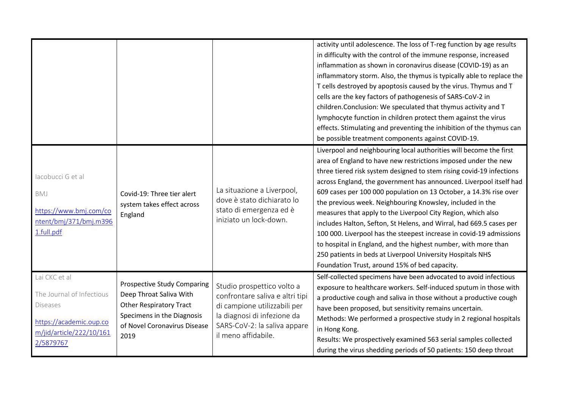|                                                                                                                                   |                                                                                                                                                                       |                                                                                                                                                                                     | activity until adolescence. The loss of T-reg function by age results<br>in difficulty with the control of the immune response, increased<br>inflammation as shown in coronavirus disease (COVID-19) as an<br>inflammatory storm. Also, the thymus is typically able to replace the<br>T cells destroyed by apoptosis caused by the virus. Thymus and T<br>cells are the key factors of pathogenesis of SARS-CoV-2 in<br>children.Conclusion: We speculated that thymus activity and T<br>lymphocyte function in children protect them against the virus<br>effects. Stimulating and preventing the inhibition of the thymus can<br>be possible treatment components against COVID-19.                                                                                                                              |
|-----------------------------------------------------------------------------------------------------------------------------------|-----------------------------------------------------------------------------------------------------------------------------------------------------------------------|-------------------------------------------------------------------------------------------------------------------------------------------------------------------------------------|---------------------------------------------------------------------------------------------------------------------------------------------------------------------------------------------------------------------------------------------------------------------------------------------------------------------------------------------------------------------------------------------------------------------------------------------------------------------------------------------------------------------------------------------------------------------------------------------------------------------------------------------------------------------------------------------------------------------------------------------------------------------------------------------------------------------|
| lacobucci G et al<br>BMJ<br>https://www.bmj.com/co<br>ntent/bmj/371/bmj.m396<br>1.full.pdf                                        | Covid-19: Three tier alert<br>system takes effect across<br>England                                                                                                   | La situazione a Liverpool,<br>dove è stato dichiarato lo<br>stato di emergenza ed è<br>iniziato un lock-down.                                                                       | Liverpool and neighbouring local authorities will become the first<br>area of England to have new restrictions imposed under the new<br>three tiered risk system designed to stem rising covid-19 infections<br>across England, the government has announced. Liverpool itself had<br>609 cases per 100 000 population on 13 October, a 14.3% rise over<br>the previous week. Neighbouring Knowsley, included in the<br>measures that apply to the Liverpool City Region, which also<br>includes Halton, Sefton, St Helens, and Wirral, had 669.5 cases per<br>100 000. Liverpool has the steepest increase in covid-19 admissions<br>to hospital in England, and the highest number, with more than<br>250 patients in beds at Liverpool University Hospitals NHS<br>Foundation Trust, around 15% of bed capacity. |
| Lai CKC et al<br>The Journal of Infectious<br><b>Diseases</b><br>https://academic.oup.co<br>m/jid/article/222/10/161<br>2/5879767 | <b>Prospective Study Comparing</b><br>Deep Throat Saliva With<br><b>Other Respiratory Tract</b><br>Specimens in the Diagnosis<br>of Novel Coronavirus Disease<br>2019 | Studio prospettico volto a<br>confrontare saliva e altri tipi<br>di campione utilizzabili per<br>la diagnosi di infezione da<br>SARS-CoV-2: la saliva appare<br>il meno affidabile. | Self-collected specimens have been advocated to avoid infectious<br>exposure to healthcare workers. Self-induced sputum in those with<br>a productive cough and saliva in those without a productive cough<br>have been proposed, but sensitivity remains uncertain.<br>Methods: We performed a prospective study in 2 regional hospitals<br>in Hong Kong.<br>Results: We prospectively examined 563 serial samples collected<br>during the virus shedding periods of 50 patients: 150 deep throat                                                                                                                                                                                                                                                                                                                  |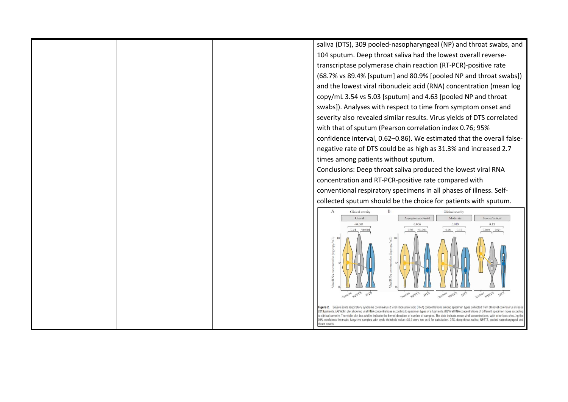| saliva (DTS), 309 pooled-nasopharyngeal (NP) and throat swabs, and                                                                                                                                                                                                                                                                                                 |
|--------------------------------------------------------------------------------------------------------------------------------------------------------------------------------------------------------------------------------------------------------------------------------------------------------------------------------------------------------------------|
| 104 sputum. Deep throat saliva had the lowest overall reverse-                                                                                                                                                                                                                                                                                                     |
| transcriptase polymerase chain reaction (RT-PCR)-positive rate                                                                                                                                                                                                                                                                                                     |
| (68.7% vs 89.4% [sputum] and 80.9% [pooled NP and throat swabs])                                                                                                                                                                                                                                                                                                   |
| and the lowest viral ribonucleic acid (RNA) concentration (mean log                                                                                                                                                                                                                                                                                                |
| copy/mL 3.54 vs 5.03 [sputum] and 4.63 [pooled NP and throat                                                                                                                                                                                                                                                                                                       |
| swabs]). Analyses with respect to time from symptom onset and                                                                                                                                                                                                                                                                                                      |
| severity also revealed similar results. Virus yields of DTS correlated                                                                                                                                                                                                                                                                                             |
| with that of sputum (Pearson correlation index 0.76; 95%                                                                                                                                                                                                                                                                                                           |
| confidence interval, 0.62-0.86). We estimated that the overall false-                                                                                                                                                                                                                                                                                              |
| negative rate of DTS could be as high as 31.3% and increased 2.7                                                                                                                                                                                                                                                                                                   |
| times among patients without sputum.                                                                                                                                                                                                                                                                                                                               |
| Conclusions: Deep throat saliva produced the lowest viral RNA                                                                                                                                                                                                                                                                                                      |
| concentration and RT-PCR-positive rate compared with                                                                                                                                                                                                                                                                                                               |
| conventional respiratory specimens in all phases of illness. Self-                                                                                                                                                                                                                                                                                                 |
| collected sputum should be the choice for patients with sputum.                                                                                                                                                                                                                                                                                                    |
| $\mathbf{A}$<br>B<br>Clinical severity<br>Clinical severity                                                                                                                                                                                                                                                                                                        |
| Moderate<br>Severe/critical<br>Overall<br>Asymptomatic/mild<br>< 0.001<br>0.006<br>0.019<br>0.13                                                                                                                                                                                                                                                                   |
| < 0.001<br>0.24<br>< 0.001<br>0.98<br>0.26<br>0.12<br>0.039 0.69                                                                                                                                                                                                                                                                                                   |
|                                                                                                                                                                                                                                                                                                                                                                    |
|                                                                                                                                                                                                                                                                                                                                                                    |
|                                                                                                                                                                                                                                                                                                                                                                    |
| prs<br><b>APSTS</b><br>$p_{15}$<br><b>NPSTS</b><br>$\mathcal{D}_{L\varphi}$<br>NPSTS<br>$\sigma_{l,z}$                                                                                                                                                                                                                                                             |
| Figure 2. Severe acute respiratory syndrome coronavirus-2 viral ribonucleic acid (RNA) concentrations among specimen types collected from 50 novel coronavirus diseas                                                                                                                                                                                              |
| 2019 patients. (A) Violin plot showing viral RNA concentrations according to specimen types of all patients. (B) Viral RNA concentrations of different specimen types according<br>to clinical severity. The violin plot box widths indicate the kernel densities of number of samples. The dots indicate mean viral concentrations, with error bars shov. Ing the |
| 95% confidence intervals. Negative samples with cycle threshold value >39.9 were set as 0 for calculation. DTS, deep-throat saliva; NPSTS, pooled nasopharyngeal and<br>hroat swabs                                                                                                                                                                                |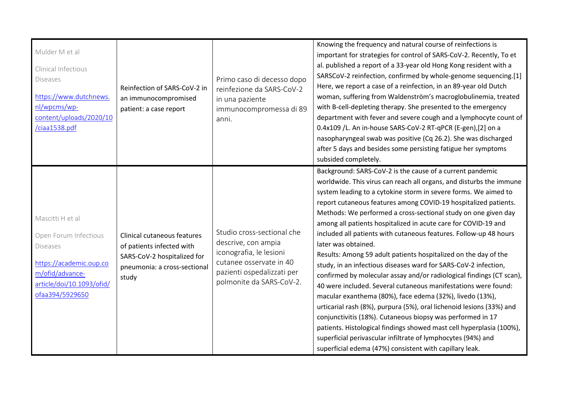| Mulder M et al<br>Clinical Infectious<br><b>Diseases</b><br>https://www.dutchnews.<br>nl/wpcms/wp-<br>content/uploads/2020/10<br>ciaa1538.pdf              | Reinfection of SARS-CoV-2 in<br>an immunocompromised<br>patient: a case report                                                   | Primo caso di decesso dopo<br>reinfezione da SARS-CoV-2<br>in una paziente<br>immunocompromessa di 89<br>anni.                                                    | Knowing the frequency and natural course of reinfections is<br>important for strategies for control of SARS-CoV-2. Recently, To et<br>al. published a report of a 33-year old Hong Kong resident with a<br>SARSCoV-2 reinfection, confirmed by whole-genome sequencing.[1]<br>Here, we report a case of a reinfection, in an 89-year old Dutch<br>woman, suffering from Waldenström's macroglobulinemia, treated<br>with B-cell-depleting therapy. She presented to the emergency<br>department with fever and severe cough and a lymphocyte count of<br>0.4x109 /L. An in-house SARS-CoV-2 RT-qPCR (E-gen),[2] on a<br>nasopharyngeal swab was positive (Cq 26.2). She was discharged<br>after 5 days and besides some persisting fatigue her symptoms<br>subsided completely.                                                                                                                                                                                                                                                                                                                                                                                                             |
|------------------------------------------------------------------------------------------------------------------------------------------------------------|----------------------------------------------------------------------------------------------------------------------------------|-------------------------------------------------------------------------------------------------------------------------------------------------------------------|---------------------------------------------------------------------------------------------------------------------------------------------------------------------------------------------------------------------------------------------------------------------------------------------------------------------------------------------------------------------------------------------------------------------------------------------------------------------------------------------------------------------------------------------------------------------------------------------------------------------------------------------------------------------------------------------------------------------------------------------------------------------------------------------------------------------------------------------------------------------------------------------------------------------------------------------------------------------------------------------------------------------------------------------------------------------------------------------------------------------------------------------------------------------------------------------|
| Mascitti H et al<br>Open Forum Infectious<br><b>Diseases</b><br>https://academic.oup.co<br>m/ofid/advance-<br>article/doi/10.1093/ofid/<br>ofaa394/5929650 | Clinical cutaneous features<br>of patients infected with<br>SARS-CoV-2 hospitalized for<br>pneumonia: a cross-sectional<br>study | Studio cross-sectional che<br>descrive, con ampia<br>iconografia, le lesioni<br>cutanee osservate in 40<br>pazienti ospedalizzati per<br>polmonite da SARS-CoV-2. | Background: SARS-CoV-2 is the cause of a current pandemic<br>worldwide. This virus can reach all organs, and disturbs the immune<br>system leading to a cytokine storm in severe forms. We aimed to<br>report cutaneous features among COVID-19 hospitalized patients.<br>Methods: We performed a cross-sectional study on one given day<br>among all patients hospitalized in acute care for COVID-19 and<br>included all patients with cutaneous features. Follow-up 48 hours<br>later was obtained.<br>Results: Among 59 adult patients hospitalized on the day of the<br>study, in an infectious diseases ward for SARS-CoV-2 infection,<br>confirmed by molecular assay and/or radiological findings (CT scan),<br>40 were included. Several cutaneous manifestations were found:<br>macular exanthema (80%), face edema (32%), livedo (13%),<br>urticarial rash (8%), purpura (5%), oral lichenoid lesions (33%) and<br>conjunctivitis (18%). Cutaneous biopsy was performed in 17<br>patients. Histological findings showed mast cell hyperplasia (100%),<br>superficial perivascular infiltrate of lymphocytes (94%) and<br>superficial edema (47%) consistent with capillary leak. |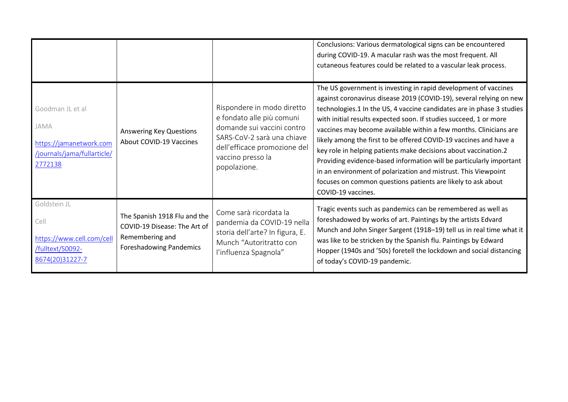|                                                                                               |                                                                                                                   |                                                                                                                                                                                          | Conclusions: Various dermatological signs can be encountered<br>during COVID-19. A macular rash was the most frequent. All<br>cutaneous features could be related to a vascular leak process.                                                                                                                                                                                                                                                                                                                                                                                                                                                                                                                                    |
|-----------------------------------------------------------------------------------------------|-------------------------------------------------------------------------------------------------------------------|------------------------------------------------------------------------------------------------------------------------------------------------------------------------------------------|----------------------------------------------------------------------------------------------------------------------------------------------------------------------------------------------------------------------------------------------------------------------------------------------------------------------------------------------------------------------------------------------------------------------------------------------------------------------------------------------------------------------------------------------------------------------------------------------------------------------------------------------------------------------------------------------------------------------------------|
| Goodman JL et al<br>JAMA<br>https://jamanetwork.com<br>/journals/jama/fullarticle/<br>2772138 | <b>Answering Key Questions</b><br><b>About COVID-19 Vaccines</b>                                                  | Rispondere in modo diretto<br>e fondato alle più comuni<br>domande sui vaccini contro<br>SARS-CoV-2 sarà una chiave<br>dell'efficace promozione del<br>vaccino presso la<br>popolazione. | The US government is investing in rapid development of vaccines<br>against coronavirus disease 2019 (COVID-19), several relying on new<br>technologies.1 In the US, 4 vaccine candidates are in phase 3 studies<br>with initial results expected soon. If studies succeed, 1 or more<br>vaccines may become available within a few months. Clinicians are<br>likely among the first to be offered COVID-19 vaccines and have a<br>key role in helping patients make decisions about vaccination.2<br>Providing evidence-based information will be particularly important<br>in an environment of polarization and mistrust. This Viewpoint<br>focuses on common questions patients are likely to ask about<br>COVID-19 vaccines. |
| Goldstein JL<br>Cell<br>https://www.cell.com/cell<br>/fulltext/S0092-<br>8674(20)31227-7      | The Spanish 1918 Flu and the<br>COVID-19 Disease: The Art of<br>Remembering and<br><b>Foreshadowing Pandemics</b> | Come sarà ricordata la<br>pandemia da COVID-19 nella<br>storia dell'arte? In figura, E.<br>Munch "Autoritratto con<br>l'influenza Spagnola"                                              | Tragic events such as pandemics can be remembered as well as<br>foreshadowed by works of art. Paintings by the artists Edvard<br>Munch and John Singer Sargent (1918-19) tell us in real time what it<br>was like to be stricken by the Spanish flu. Paintings by Edward<br>Hopper (1940s and '50s) foretell the lockdown and social distancing<br>of today's COVID-19 pandemic.                                                                                                                                                                                                                                                                                                                                                 |